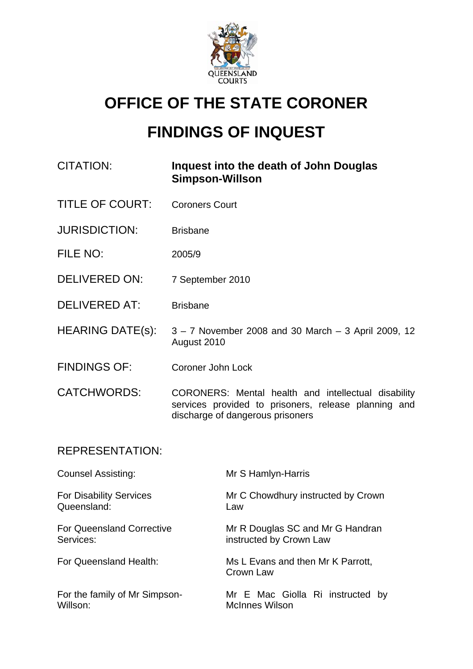

# **OFFICE OF THE STATE CORONER**

# **FINDINGS OF INQUEST**

| CITATION: | Inquest into the death of John Douglas |
|-----------|----------------------------------------|
|           | <b>Simpson-Willson</b>                 |

- TITLE OF COURT: Coroners Court
- JURISDICTION: Brisbane
- FILE NO: 2005/9
- DELIVERED ON: 7 September 2010
- DELIVERED AT: Brisbane
- HEARING DATE(s):  $3 7$  November 2008 and 30 March  $-3$  April 2009, 12 August 2010
- FINDINGS OF: Coroner John Lock
- CATCHWORDS: CORONERS: Mental health and intellectual disability services provided to prisoners, release planning and discharge of dangerous prisoners

### REPRESENTATION:

For Disability Services Queensland:

For Queensland Corrective Services:

For the family of Mr Simpson-Willson:

Counsel Assisting: Mr S Hamlyn-Harris

Mr C Chowdhury instructed by Crown Law

Mr R Douglas SC and Mr G Handran instructed by Crown Law

For Queensland Health: Ms L Evans and then Mr K Parrott, Crown Law

> Mr E Mac Giolla Ri instructed by McInnes Wilson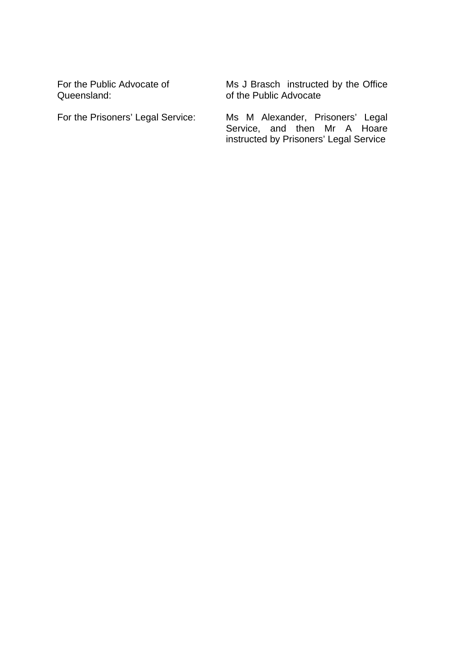For the Public Advocate of Queensland:

Ms J Brasch instructed by the Office of the Public Advocate

For the Prisoners' Legal Service: Ms M Alexander, Prisoners' Legal Service, and then Mr A Hoare instructed by Prisoners' Legal Service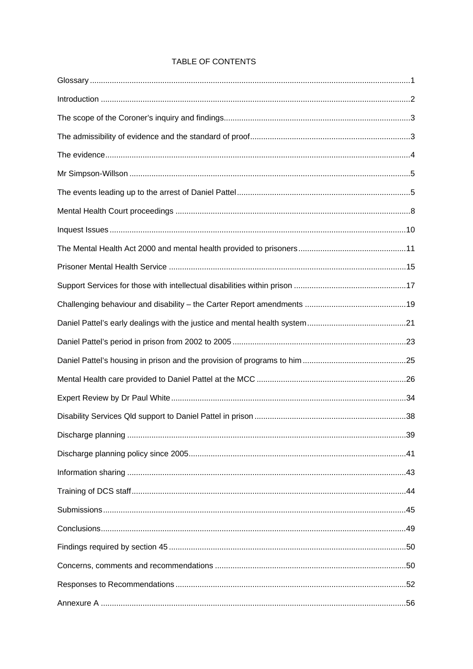#### TABLE OF CONTENTS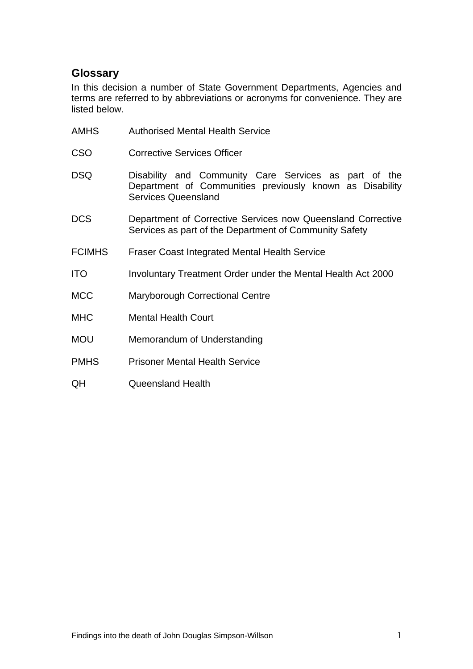# <span id="page-3-0"></span>**Glossary**

In this decision a number of State Government Departments, Agencies and terms are referred to by abbreviations or acronyms for convenience. They are listed below.

| <b>AMHS</b>   | <b>Authorised Mental Health Service</b>                                                                                                         |
|---------------|-------------------------------------------------------------------------------------------------------------------------------------------------|
| <b>CSO</b>    | <b>Corrective Services Officer</b>                                                                                                              |
| <b>DSQ</b>    | Disability and Community Care Services as part of the<br>Department of Communities previously known as Disability<br><b>Services Queensland</b> |
| <b>DCS</b>    | Department of Corrective Services now Queensland Corrective<br>Services as part of the Department of Community Safety                           |
| <b>FCIMHS</b> | <b>Fraser Coast Integrated Mental Health Service</b>                                                                                            |
| <b>ITO</b>    | Involuntary Treatment Order under the Mental Health Act 2000                                                                                    |
| <b>MCC</b>    | <b>Maryborough Correctional Centre</b>                                                                                                          |
| <b>MHC</b>    | <b>Mental Health Court</b>                                                                                                                      |
| <b>MOU</b>    | Memorandum of Understanding                                                                                                                     |
| <b>PMHS</b>   | <b>Prisoner Mental Health Service</b>                                                                                                           |
| QH            | <b>Queensland Health</b>                                                                                                                        |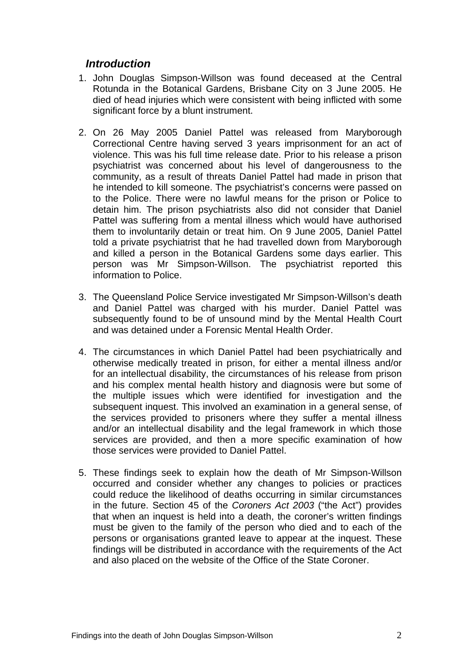# <span id="page-4-0"></span>*Introduction*

- 1. John Douglas Simpson-Willson was found deceased at the Central Rotunda in the Botanical Gardens, Brisbane City on 3 June 2005. He died of head injuries which were consistent with being inflicted with some significant force by a blunt instrument.
- 2. On 26 May 2005 Daniel Pattel was released from Maryborough Correctional Centre having served 3 years imprisonment for an act of violence. This was his full time release date. Prior to his release a prison psychiatrist was concerned about his level of dangerousness to the community, as a result of threats Daniel Pattel had made in prison that he intended to kill someone. The psychiatrist's concerns were passed on to the Police. There were no lawful means for the prison or Police to detain him. The prison psychiatrists also did not consider that Daniel Pattel was suffering from a mental illness which would have authorised them to involuntarily detain or treat him. On 9 June 2005, Daniel Pattel told a private psychiatrist that he had travelled down from Maryborough and killed a person in the Botanical Gardens some days earlier. This person was Mr Simpson-Willson. The psychiatrist reported this information to Police.
- 3. The Queensland Police Service investigated Mr Simpson-Willson's death and Daniel Pattel was charged with his murder. Daniel Pattel was subsequently found to be of unsound mind by the Mental Health Court and was detained under a Forensic Mental Health Order.
- 4. The circumstances in which Daniel Pattel had been psychiatrically and otherwise medically treated in prison, for either a mental illness and/or for an intellectual disability, the circumstances of his release from prison and his complex mental health history and diagnosis were but some of the multiple issues which were identified for investigation and the subsequent inquest. This involved an examination in a general sense, of the services provided to prisoners where they suffer a mental illness and/or an intellectual disability and the legal framework in which those services are provided, and then a more specific examination of how those services were provided to Daniel Pattel.
- 5. These findings seek to explain how the death of Mr Simpson-Willson occurred and consider whether any changes to policies or practices could reduce the likelihood of deaths occurring in similar circumstances in the future. Section 45 of the *Coroners Act 2003* ("the Act") provides that when an inquest is held into a death, the coroner's written findings must be given to the family of the person who died and to each of the persons or organisations granted leave to appear at the inquest. These findings will be distributed in accordance with the requirements of the Act and also placed on the website of the Office of the State Coroner.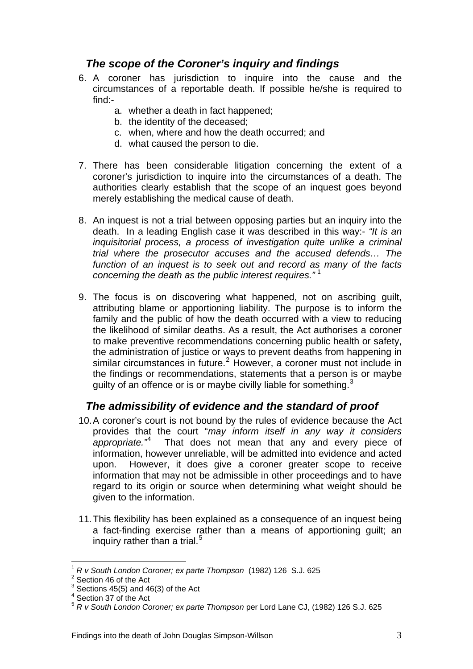# <span id="page-5-0"></span>*The scope of the Coroner's inquiry and findings*

- 6. A coroner has jurisdiction to inquire into the cause and the circumstances of a reportable death. If possible he/she is required to find:
	- a. whether a death in fact happened;
	- b. the identity of the deceased;
	- c. when, where and how the death occurred; and
	- d. what caused the person to die.
- 7. There has been considerable litigation concerning the extent of a coroner's jurisdiction to inquire into the circumstances of a death. The authorities clearly establish that the scope of an inquest goes beyond merely establishing the medical cause of death.
- 8. An inquest is not a trial between opposing parties but an inquiry into the death. In a leading English case it was described in this way:- *"It is an inquisitorial process, a process of investigation quite unlike a criminal trial where the prosecutor accuses and the accused defends… The function of an inquest is to seek out and record as many of the facts concerning the death as the public interest requires."* [1](#page-5-1)
- 9. The focus is on discovering what happened, not on ascribing guilt, attributing blame or apportioning liability. The purpose is to inform the family and the public of how the death occurred with a view to reducing the likelihood of similar deaths. As a result, the Act authorises a coroner to make preventive recommendations concerning public health or safety, the administration of justice or ways to prevent deaths from happening in similar circumstances in future.<sup>[2](#page-5-2)</sup> However, a coroner must not include in the findings or recommendations, statements that a person is or maybe guilty of an offence or is or maybe civilly liable for something.<sup>[3](#page-5-3)</sup>

# *The admissibility of evidence and the standard of proof*

- 10. A coroner's court is not bound by the rules of evidence because the Act provides that the court "*may inform itself in any way it considers appropriate."*[4](#page-5-4) That does not mean that any and every piece of information, however unreliable, will be admitted into evidence and acted upon. However, it does give a coroner greater scope to receive information that may not be admissible in other proceedings and to have regard to its origin or source when determining what weight should be given to the information.
- 11. This flexibility has been explained as a consequence of an inquest being a fact-finding exercise rather than a means of apportioning guilt; an inquiry rather than a trial. $5$

 $\overline{a}$ <sup>1</sup> *R v South London Coroner; ex parte Thompson* (1982) 126 S.J. 625 <sup>2</sup>

<span id="page-5-2"></span><span id="page-5-1"></span> $2$  Section 46 of the Act

<span id="page-5-3"></span> $3$  Sections 45(5) and 46(3) of the Act

<span id="page-5-4"></span><sup>4</sup> Section 37 of the Act

<span id="page-5-5"></span><sup>5</sup> *R v South London Coroner; ex parte Thompson* per Lord Lane CJ, (1982) 126 S.J. 625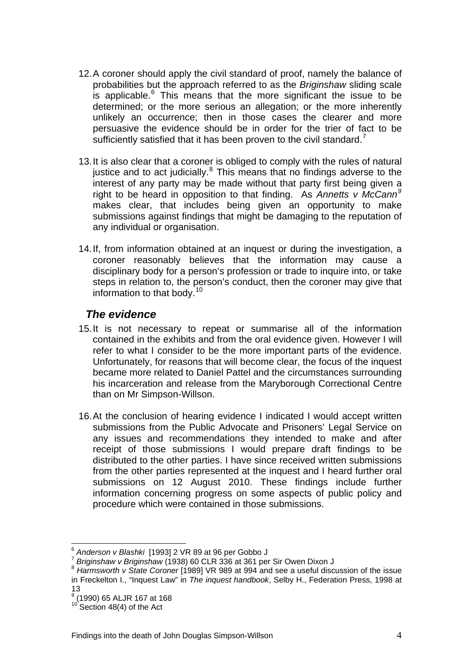- <span id="page-6-0"></span>12. A coroner should apply the civil standard of proof, namely the balance of probabilities but the approach referred to as the *Briginshaw* sliding scale is applicable. $6$  This means that the more significant the issue to be determined; or the more serious an allegation; or the more inherently unlikely an occurrence; then in those cases the clearer and more persuasive the evidence should be in order for the trier of fact to be sufficiently satisfied that it has been proven to the civil standard.<sup>[7](#page-6-2)</sup>
- 13. It is also clear that a coroner is obliged to comply with the rules of natural justice and to act judicially. $8$  This means that no findings adverse to the interest of any party may be made without that party first being given a right to be heard in opposition to that finding. As *Annetts v McCann[9](#page-6-4)* makes clear, that includes being given an opportunity to make submissions against findings that might be damaging to the reputation of any individual or organisation.
- 14. If, from information obtained at an inquest or during the investigation, a coroner reasonably believes that the information may cause a disciplinary body for a person's profession or trade to inquire into, or take steps in relation to, the person's conduct, then the coroner may give that information to that body.[10](#page-6-5)

### *The evidence*

- 15. It is not necessary to repeat or summarise all of the information contained in the exhibits and from the oral evidence given. However I will refer to what I consider to be the more important parts of the evidence. Unfortunately, for reasons that will become clear, the focus of the inquest became more related to Daniel Pattel and the circumstances surrounding his incarceration and release from the Maryborough Correctional Centre than on Mr Simpson-Willson.
- 16. At the conclusion of hearing evidence I indicated I would accept written submissions from the Public Advocate and Prisoners' Legal Service on any issues and recommendations they intended to make and after receipt of those submissions I would prepare draft findings to be distributed to the other parties. I have since received written submissions from the other parties represented at the inquest and I heard further oral submissions on 12 August 2010. These findings include further information concerning progress on some aspects of public policy and procedure which were contained in those submissions.

<span id="page-6-3"></span><span id="page-6-2"></span><span id="page-6-1"></span> $\frac{7}{1}$  Briginshaw v Briginshaw (1938) 60 CLR 336 at 361 per Sir Owen Dixon J<br> $\frac{8}{1}$  Briginshaw v Briginshaw (1938) 60 CLR 336 at 361 per Sir Owen Dixon J in Freckelton I., "Inquest Law" in *The inquest handbook*, Selby H., Federation Press, 1998 at 13

<sup>&</sup>lt;sup>6</sup> Anderson v Blashki [1993] 2 VR 89 at 96 per Gobbo J

<span id="page-6-4"></span><sup>9</sup> (1990) 65 ALJR 167 at 168

<span id="page-6-5"></span> $10^{10}$  Section 48(4) of the Act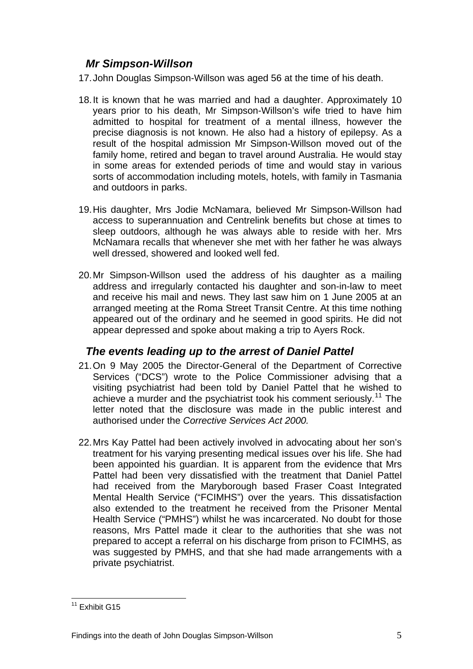# <span id="page-7-0"></span>*Mr Simpson-Willson*

17. John Douglas Simpson-Willson was aged 56 at the time of his death.

- 18. It is known that he was married and had a daughter. Approximately 10 years prior to his death, Mr Simpson-Willson's wife tried to have him admitted to hospital for treatment of a mental illness, however the precise diagnosis is not known. He also had a history of epilepsy. As a result of the hospital admission Mr Simpson-Willson moved out of the family home, retired and began to travel around Australia. He would stay in some areas for extended periods of time and would stay in various sorts of accommodation including motels, hotels, with family in Tasmania and outdoors in parks.
- 19. His daughter, Mrs Jodie McNamara, believed Mr Simpson-Willson had access to superannuation and Centrelink benefits but chose at times to sleep outdoors, although he was always able to reside with her. Mrs McNamara recalls that whenever she met with her father he was always well dressed, showered and looked well fed.
- 20. Mr Simpson-Willson used the address of his daughter as a mailing address and irregularly contacted his daughter and son-in-law to meet and receive his mail and news. They last saw him on 1 June 2005 at an arranged meeting at the Roma Street Transit Centre. At this time nothing appeared out of the ordinary and he seemed in good spirits. He did not appear depressed and spoke about making a trip to Ayers Rock.

# *The events leading up to the arrest of Daniel Pattel*

- 21. On 9 May 2005 the Director-General of the Department of Corrective Services ("DCS") wrote to the Police Commissioner advising that a visiting psychiatrist had been told by Daniel Pattel that he wished to achieve a murder and the psychiatrist took his comment seriously.<sup>[11](#page-7-1)</sup> The letter noted that the disclosure was made in the public interest and authorised under the *Corrective Services Act 2000.*
- 22. Mrs Kay Pattel had been actively involved in advocating about her son's treatment for his varying presenting medical issues over his life. She had been appointed his guardian. It is apparent from the evidence that Mrs Pattel had been very dissatisfied with the treatment that Daniel Pattel had received from the Maryborough based Fraser Coast Integrated Mental Health Service ("FCIMHS") over the years. This dissatisfaction also extended to the treatment he received from the Prisoner Mental Health Service ("PMHS") whilst he was incarcerated. No doubt for those reasons, Mrs Pattel made it clear to the authorities that she was not prepared to accept a referral on his discharge from prison to FCIMHS, as was suggested by PMHS, and that she had made arrangements with a private psychiatrist.

<span id="page-7-1"></span> $\overline{a}$  $11$  Exhibit G15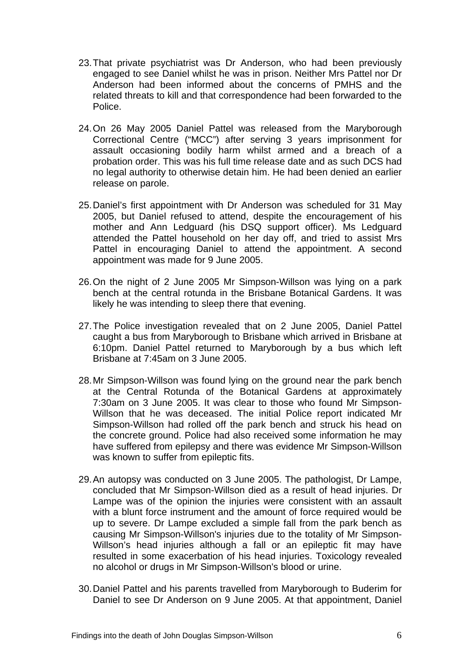- 23. That private psychiatrist was Dr Anderson, who had been previously engaged to see Daniel whilst he was in prison. Neither Mrs Pattel nor Dr Anderson had been informed about the concerns of PMHS and the related threats to kill and that correspondence had been forwarded to the Police.
- 24. On 26 May 2005 Daniel Pattel was released from the Maryborough Correctional Centre ("MCC") after serving 3 years imprisonment for assault occasioning bodily harm whilst armed and a breach of a probation order. This was his full time release date and as such DCS had no legal authority to otherwise detain him. He had been denied an earlier release on parole.
- 25. Daniel's first appointment with Dr Anderson was scheduled for 31 May 2005, but Daniel refused to attend, despite the encouragement of his mother and Ann Ledguard (his DSQ support officer). Ms Ledguard attended the Pattel household on her day off, and tried to assist Mrs Pattel in encouraging Daniel to attend the appointment. A second appointment was made for 9 June 2005.
- 26. On the night of 2 June 2005 Mr Simpson-Willson was lying on a park bench at the central rotunda in the Brisbane Botanical Gardens. It was likely he was intending to sleep there that evening.
- 27. The Police investigation revealed that on 2 June 2005, Daniel Pattel caught a bus from Maryborough to Brisbane which arrived in Brisbane at 6:10pm. Daniel Pattel returned to Maryborough by a bus which left Brisbane at 7:45am on 3 June 2005.
- 28. Mr Simpson-Willson was found lying on the ground near the park bench at the Central Rotunda of the Botanical Gardens at approximately 7:30am on 3 June 2005. It was clear to those who found Mr Simpson-Willson that he was deceased. The initial Police report indicated Mr Simpson-Willson had rolled off the park bench and struck his head on the concrete ground. Police had also received some information he may have suffered from epilepsy and there was evidence Mr Simpson-Willson was known to suffer from epileptic fits.
- 29. An autopsy was conducted on 3 June 2005. The pathologist, Dr Lampe, concluded that Mr Simpson-Willson died as a result of head injuries. Dr Lampe was of the opinion the injuries were consistent with an assault with a blunt force instrument and the amount of force required would be up to severe. Dr Lampe excluded a simple fall from the park bench as causing Mr Simpson-Willson's injuries due to the totality of Mr Simpson-Willson's head injuries although a fall or an epileptic fit may have resulted in some exacerbation of his head injuries. Toxicology revealed no alcohol or drugs in Mr Simpson-Willson's blood or urine.
- 30. Daniel Pattel and his parents travelled from Maryborough to Buderim for Daniel to see Dr Anderson on 9 June 2005. At that appointment, Daniel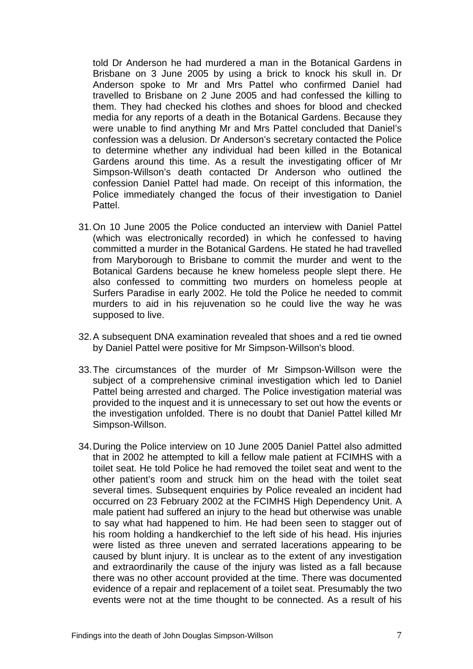told Dr Anderson he had murdered a man in the Botanical Gardens in Brisbane on 3 June 2005 by using a brick to knock his skull in. Dr Anderson spoke to Mr and Mrs Pattel who confirmed Daniel had travelled to Brisbane on 2 June 2005 and had confessed the killing to them. They had checked his clothes and shoes for blood and checked media for any reports of a death in the Botanical Gardens. Because they were unable to find anything Mr and Mrs Pattel concluded that Daniel's confession was a delusion. Dr Anderson's secretary contacted the Police to determine whether any individual had been killed in the Botanical Gardens around this time. As a result the investigating officer of Mr Simpson-Willson's death contacted Dr Anderson who outlined the confession Daniel Pattel had made. On receipt of this information, the Police immediately changed the focus of their investigation to Daniel Pattel.

- 31. On 10 June 2005 the Police conducted an interview with Daniel Pattel (which was electronically recorded) in which he confessed to having committed a murder in the Botanical Gardens. He stated he had travelled from Maryborough to Brisbane to commit the murder and went to the Botanical Gardens because he knew homeless people slept there. He also confessed to committing two murders on homeless people at Surfers Paradise in early 2002. He told the Police he needed to commit murders to aid in his rejuvenation so he could live the way he was supposed to live.
- 32. A subsequent DNA examination revealed that shoes and a red tie owned by Daniel Pattel were positive for Mr Simpson-Willson's blood.
- 33. The circumstances of the murder of Mr Simpson-Willson were the subject of a comprehensive criminal investigation which led to Daniel Pattel being arrested and charged. The Police investigation material was provided to the inquest and it is unnecessary to set out how the events or the investigation unfolded. There is no doubt that Daniel Pattel killed Mr Simpson-Willson.
- 34. During the Police interview on 10 June 2005 Daniel Pattel also admitted that in 2002 he attempted to kill a fellow male patient at FCIMHS with a toilet seat. He told Police he had removed the toilet seat and went to the other patient's room and struck him on the head with the toilet seat several times. Subsequent enquiries by Police revealed an incident had occurred on 23 February 2002 at the FCIMHS High Dependency Unit. A male patient had suffered an injury to the head but otherwise was unable to say what had happened to him. He had been seen to stagger out of his room holding a handkerchief to the left side of his head. His injuries were listed as three uneven and serrated lacerations appearing to be caused by blunt injury. It is unclear as to the extent of any investigation and extraordinarily the cause of the injury was listed as a fall because there was no other account provided at the time. There was documented evidence of a repair and replacement of a toilet seat. Presumably the two events were not at the time thought to be connected. As a result of his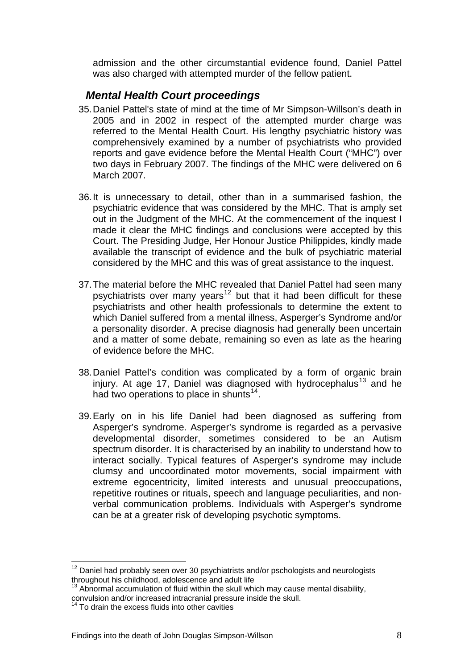<span id="page-10-0"></span>admission and the other circumstantial evidence found, Daniel Pattel was also charged with attempted murder of the fellow patient.

# *Mental Health Court proceedings*

- 35. Daniel Pattel's state of mind at the time of Mr Simpson-Willson's death in 2005 and in 2002 in respect of the attempted murder charge was referred to the Mental Health Court. His lengthy psychiatric history was comprehensively examined by a number of psychiatrists who provided reports and gave evidence before the Mental Health Court ("MHC") over two days in February 2007. The findings of the MHC were delivered on 6 March 2007.
- 36. It is unnecessary to detail, other than in a summarised fashion, the psychiatric evidence that was considered by the MHC. That is amply set out in the Judgment of the MHC. At the commencement of the inquest I made it clear the MHC findings and conclusions were accepted by this Court. The Presiding Judge, Her Honour Justice Philippides, kindly made available the transcript of evidence and the bulk of psychiatric material considered by the MHC and this was of great assistance to the inquest.
- 37. The material before the MHC revealed that Daniel Pattel had seen many psychiatrists over many years<sup>[12](#page-10-1)</sup> but that it had been difficult for these psychiatrists and other health professionals to determine the extent to which Daniel suffered from a mental illness, Asperger's Syndrome and/or a personality disorder. A precise diagnosis had generally been uncertain and a matter of some debate, remaining so even as late as the hearing of evidence before the MHC.
- 38. Daniel Pattel's condition was complicated by a form of organic brain injury. At age 17, Daniel was diagnosed with hydrocephalus<sup>[13](#page-10-2)</sup> and he had two operations to place in shunts<sup>[14](#page-10-3)</sup>.
- 39. Early on in his life Daniel had been diagnosed as suffering from Asperger's syndrome. Asperger's syndrome is regarded as a pervasive developmental disorder, sometimes considered to be an Autism spectrum disorder. It is characterised by an inability to understand how to interact socially. Typical features of Asperger's syndrome may include clumsy and uncoordinated motor movements, social impairment with extreme egocentricity, limited interests and unusual preoccupations, repetitive routines or rituals, speech and language peculiarities, and nonverbal communication problems. Individuals with Asperger's syndrome can be at a greater risk of developing psychotic symptoms.

<span id="page-10-1"></span> $\overline{a}$  $12$  Daniel had probably seen over 30 psychiatrists and/or pschologists and neurologists throughout his childhood, adolescence and adult life

<span id="page-10-2"></span> $13$  Abnormal accumulation of fluid within the skull which may cause mental disability. convulsion and/or increased intracranial pressure inside the skull.

<span id="page-10-3"></span> $14$  To drain the excess fluids into other cavities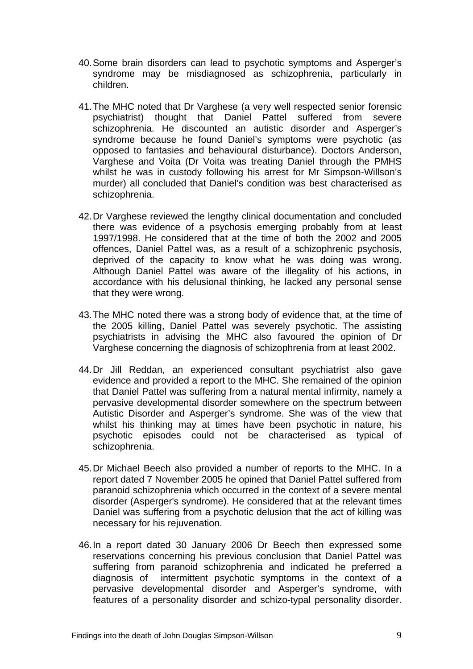- 40. Some brain disorders can lead to psychotic symptoms and Asperger's syndrome may be misdiagnosed as schizophrenia, particularly in children.
- 41. The MHC noted that Dr Varghese (a very well respected senior forensic psychiatrist) thought that Daniel Pattel suffered from severe schizophrenia. He discounted an autistic disorder and Asperger's syndrome because he found Daniel's symptoms were psychotic (as opposed to fantasies and behavioural disturbance). Doctors Anderson, Varghese and Voita (Dr Voita was treating Daniel through the PMHS whilst he was in custody following his arrest for Mr Simpson-Willson's murder) all concluded that Daniel's condition was best characterised as schizophrenia.
- 42. Dr Varghese reviewed the lengthy clinical documentation and concluded there was evidence of a psychosis emerging probably from at least 1997/1998. He considered that at the time of both the 2002 and 2005 offences, Daniel Pattel was, as a result of a schizophrenic psychosis, deprived of the capacity to know what he was doing was wrong. Although Daniel Pattel was aware of the illegality of his actions, in accordance with his delusional thinking, he lacked any personal sense that they were wrong.
- 43. The MHC noted there was a strong body of evidence that, at the time of the 2005 killing, Daniel Pattel was severely psychotic. The assisting psychiatrists in advising the MHC also favoured the opinion of Dr Varghese concerning the diagnosis of schizophrenia from at least 2002.
- 44. Dr Jill Reddan, an experienced consultant psychiatrist also gave evidence and provided a report to the MHC. She remained of the opinion that Daniel Pattel was suffering from a natural mental infirmity, namely a pervasive developmental disorder somewhere on the spectrum between Autistic Disorder and Asperger's syndrome. She was of the view that whilst his thinking may at times have been psychotic in nature, his psychotic episodes could not be characterised as typical of schizophrenia.
- 45. Dr Michael Beech also provided a number of reports to the MHC. In a report dated 7 November 2005 he opined that Daniel Pattel suffered from paranoid schizophrenia which occurred in the context of a severe mental disorder (Asperger's syndrome). He considered that at the relevant times Daniel was suffering from a psychotic delusion that the act of killing was necessary for his rejuvenation.
- 46. In a report dated 30 January 2006 Dr Beech then expressed some reservations concerning his previous conclusion that Daniel Pattel was suffering from paranoid schizophrenia and indicated he preferred a diagnosis of intermittent psychotic symptoms in the context of a pervasive developmental disorder and Asperger's syndrome, with features of a personality disorder and schizo-typal personality disorder.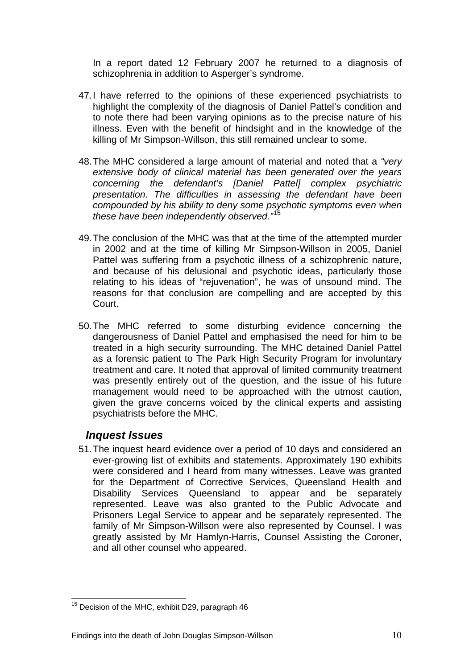<span id="page-12-0"></span>In a report dated 12 February 2007 he returned to a diagnosis of schizophrenia in addition to Asperger's syndrome.

- 47. I have referred to the opinions of these experienced psychiatrists to highlight the complexity of the diagnosis of Daniel Pattel's condition and to note there had been varying opinions as to the precise nature of his illness. Even with the benefit of hindsight and in the knowledge of the killing of Mr Simpson-Willson, this still remained unclear to some.
- 48. The MHC considered a large amount of material and noted that a *"very extensive body of clinical material has been generated over the years concerning the defendant's [Daniel Pattel] complex psychiatric presentation. The difficulties in assessing the defendant have been compounded by his ability to deny some psychotic symptoms even when these have been independently observed."*[15](#page-12-1)
- 49. The conclusion of the MHC was that at the time of the attempted murder in 2002 and at the time of killing Mr Simpson-Willson in 2005, Daniel Pattel was suffering from a psychotic illness of a schizophrenic nature, and because of his delusional and psychotic ideas, particularly those relating to his ideas of "rejuvenation", he was of unsound mind. The reasons for that conclusion are compelling and are accepted by this Court.
- 50. The MHC referred to some disturbing evidence concerning the dangerousness of Daniel Pattel and emphasised the need for him to be treated in a high security surrounding. The MHC detained Daniel Pattel as a forensic patient to The Park High Security Program for involuntary treatment and care. It noted that approval of limited community treatment was presently entirely out of the question, and the issue of his future management would need to be approached with the utmost caution, given the grave concerns voiced by the clinical experts and assisting psychiatrists before the MHC.

# *Inquest Issues*

51. The inquest heard evidence over a period of 10 days and considered an ever-growing list of exhibits and statements. Approximately 190 exhibits were considered and I heard from many witnesses. Leave was granted for the Department of Corrective Services, Queensland Health and Disability Services Queensland to appear and be separately represented. Leave was also granted to the Public Advocate and Prisoners Legal Service to appear and be separately represented. The family of Mr Simpson-Willson were also represented by Counsel. I was greatly assisted by Mr Hamlyn-Harris, Counsel Assisting the Coroner, and all other counsel who appeared.

<span id="page-12-1"></span> $\overline{a}$  $15$  Decision of the MHC, exhibit D29, paragraph 46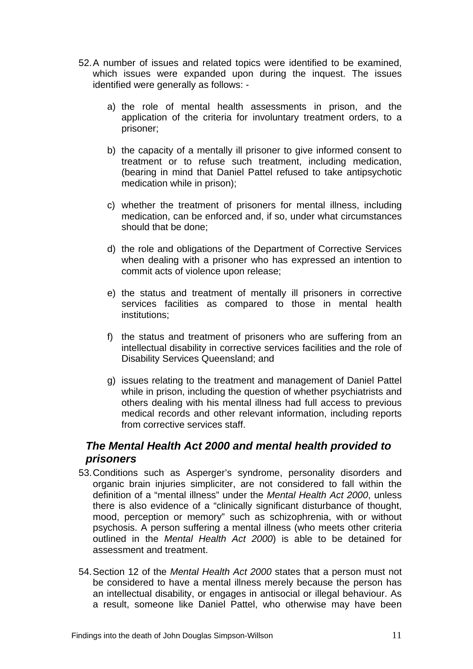- <span id="page-13-0"></span>52. A number of issues and related topics were identified to be examined, which issues were expanded upon during the inquest. The issues identified were generally as follows:
	- a) the role of mental health assessments in prison, and the application of the criteria for involuntary treatment orders, to a prisoner;
	- b) the capacity of a mentally ill prisoner to give informed consent to treatment or to refuse such treatment, including medication, (bearing in mind that Daniel Pattel refused to take antipsychotic medication while in prison);
	- c) whether the treatment of prisoners for mental illness, including medication, can be enforced and, if so, under what circumstances should that be done;
	- d) the role and obligations of the Department of Corrective Services when dealing with a prisoner who has expressed an intention to commit acts of violence upon release;
	- e) the status and treatment of mentally ill prisoners in corrective services facilities as compared to those in mental health institutions;
	- f) the status and treatment of prisoners who are suffering from an intellectual disability in corrective services facilities and the role of Disability Services Queensland; and
	- g) issues relating to the treatment and management of Daniel Pattel while in prison, including the question of whether psychiatrists and others dealing with his mental illness had full access to previous medical records and other relevant information, including reports from corrective services staff.

# *The Mental Health Act 2000 and mental health provided to prisoners*

- 53. Conditions such as Asperger's syndrome, personality disorders and organic brain injuries simpliciter, are not considered to fall within the definition of a "mental illness" under the *Mental Health Act 2000*, unless there is also evidence of a "clinically significant disturbance of thought, mood, perception or memory" such as schizophrenia, with or without psychosis. A person suffering a mental illness (who meets other criteria outlined in the *Mental Health Act 2000*) is able to be detained for assessment and treatment.
- 54. Section 12 of the *Mental Health Act 2000* states that a person must not be considered to have a mental illness merely because the person has an intellectual disability, or engages in antisocial or illegal behaviour. As a result, someone like Daniel Pattel, who otherwise may have been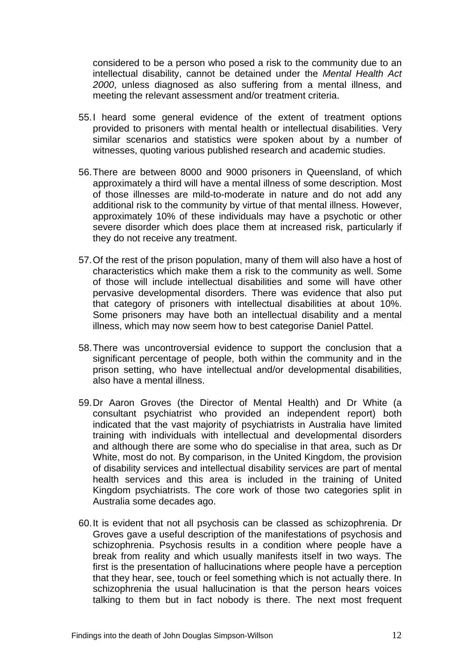considered to be a person who posed a risk to the community due to an intellectual disability, cannot be detained under the *Mental Health Act 2000*, unless diagnosed as also suffering from a mental illness, and meeting the relevant assessment and/or treatment criteria.

- 55. I heard some general evidence of the extent of treatment options provided to prisoners with mental health or intellectual disabilities. Very similar scenarios and statistics were spoken about by a number of witnesses, quoting various published research and academic studies.
- 56. There are between 8000 and 9000 prisoners in Queensland, of which approximately a third will have a mental illness of some description. Most of those illnesses are mild-to-moderate in nature and do not add any additional risk to the community by virtue of that mental illness. However, approximately 10% of these individuals may have a psychotic or other severe disorder which does place them at increased risk, particularly if they do not receive any treatment.
- 57. Of the rest of the prison population, many of them will also have a host of characteristics which make them a risk to the community as well. Some of those will include intellectual disabilities and some will have other pervasive developmental disorders. There was evidence that also put that category of prisoners with intellectual disabilities at about 10%. Some prisoners may have both an intellectual disability and a mental illness, which may now seem how to best categorise Daniel Pattel.
- 58. There was uncontroversial evidence to support the conclusion that a significant percentage of people, both within the community and in the prison setting, who have intellectual and/or developmental disabilities, also have a mental illness.
- 59. Dr Aaron Groves (the Director of Mental Health) and Dr White (a consultant psychiatrist who provided an independent report) both indicated that the vast majority of psychiatrists in Australia have limited training with individuals with intellectual and developmental disorders and although there are some who do specialise in that area, such as Dr White, most do not. By comparison, in the United Kingdom, the provision of disability services and intellectual disability services are part of mental health services and this area is included in the training of United Kingdom psychiatrists. The core work of those two categories split in Australia some decades ago.
- 60. It is evident that not all psychosis can be classed as schizophrenia. Dr Groves gave a useful description of the manifestations of psychosis and schizophrenia. Psychosis results in a condition where people have a break from reality and which usually manifests itself in two ways. The first is the presentation of hallucinations where people have a perception that they hear, see, touch or feel something which is not actually there. In schizophrenia the usual hallucination is that the person hears voices talking to them but in fact nobody is there. The next most frequent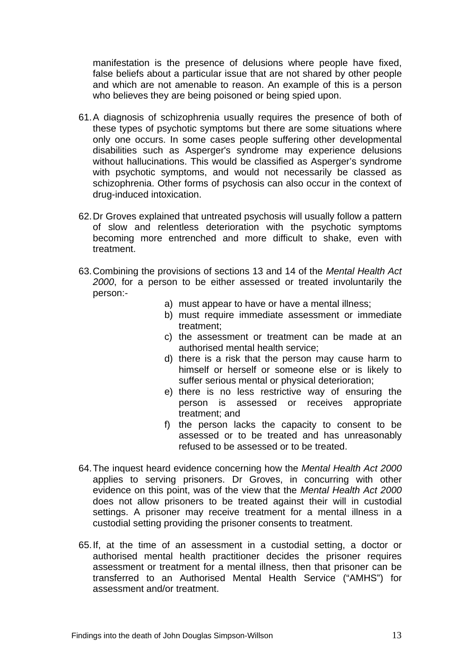manifestation is the presence of delusions where people have fixed, false beliefs about a particular issue that are not shared by other people and which are not amenable to reason. An example of this is a person who believes they are being poisoned or being spied upon.

- 61. A diagnosis of schizophrenia usually requires the presence of both of these types of psychotic symptoms but there are some situations where only one occurs. In some cases people suffering other developmental disabilities such as Asperger's syndrome may experience delusions without hallucinations. This would be classified as Asperger's syndrome with psychotic symptoms, and would not necessarily be classed as schizophrenia. Other forms of psychosis can also occur in the context of drug-induced intoxication.
- 62. Dr Groves explained that untreated psychosis will usually follow a pattern of slow and relentless deterioration with the psychotic symptoms becoming more entrenched and more difficult to shake, even with treatment.
- 63. Combining the provisions of sections 13 and 14 of the *Mental Health Act 2000*, for a person to be either assessed or treated involuntarily the person:
	- a) must appear to have or have a mental illness;
	- b) must require immediate assessment or immediate treatment;
	- c) the assessment or treatment can be made at an authorised mental health service;
	- d) there is a risk that the person may cause harm to himself or herself or someone else or is likely to suffer serious mental or physical deterioration;
	- e) there is no less restrictive way of ensuring the person is assessed or receives appropriate treatment; and
	- f) the person lacks the capacity to consent to be assessed or to be treated and has unreasonably refused to be assessed or to be treated.
- 64. The inquest heard evidence concerning how the *Mental Health Act 2000* applies to serving prisoners. Dr Groves, in concurring with other evidence on this point, was of the view that the *Mental Health Act 2000*  does not allow prisoners to be treated against their will in custodial settings. A prisoner may receive treatment for a mental illness in a custodial setting providing the prisoner consents to treatment.
- 65. If, at the time of an assessment in a custodial setting, a doctor or authorised mental health practitioner decides the prisoner requires assessment or treatment for a mental illness, then that prisoner can be transferred to an Authorised Mental Health Service ("AMHS") for assessment and/or treatment.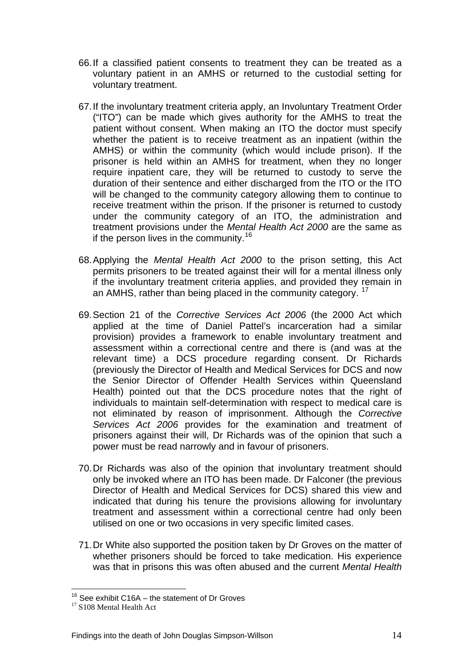- 66. If a classified patient consents to treatment they can be treated as a voluntary patient in an AMHS or returned to the custodial setting for voluntary treatment.
- 67. If the involuntary treatment criteria apply, an Involuntary Treatment Order ("ITO") can be made which gives authority for the AMHS to treat the patient without consent. When making an ITO the doctor must specify whether the patient is to receive treatment as an inpatient (within the AMHS) or within the community (which would include prison). If the prisoner is held within an AMHS for treatment, when they no longer require inpatient care, they will be returned to custody to serve the duration of their sentence and either discharged from the ITO or the ITO will be changed to the community category allowing them to continue to receive treatment within the prison. If the prisoner is returned to custody under the community category of an ITO, the administration and treatment provisions under the *Mental Health Act 2000* are the same as if the person lives in the community.<sup>[16](#page-16-0)</sup>
- 68. Applying the *Mental Health Act 2000* to the prison setting, this Act permits prisoners to be treated against their will for a mental illness only if the involuntary treatment criteria applies, and provided they remain in an AMHS, rather than being placed in the community category. <sup>[17](#page-16-1)</sup>
- 69. Section 21 of the *Corrective Services Act 2006* (the 2000 Act which applied at the time of Daniel Pattel's incarceration had a similar provision) provides a framework to enable involuntary treatment and assessment within a correctional centre and there is (and was at the relevant time) a DCS procedure regarding consent. Dr Richards (previously the Director of Health and Medical Services for DCS and now the Senior Director of Offender Health Services within Queensland Health) pointed out that the DCS procedure notes that the right of individuals to maintain self-determination with respect to medical care is not eliminated by reason of imprisonment. Although the *Corrective Services Act 2006* provides for the examination and treatment of prisoners against their will, Dr Richards was of the opinion that such a power must be read narrowly and in favour of prisoners.
- 70. Dr Richards was also of the opinion that involuntary treatment should only be invoked where an ITO has been made. Dr Falconer (the previous Director of Health and Medical Services for DCS) shared this view and indicated that during his tenure the provisions allowing for involuntary treatment and assessment within a correctional centre had only been utilised on one or two occasions in very specific limited cases.
- 71. Dr White also supported the position taken by Dr Groves on the matter of whether prisoners should be forced to take medication. His experience was that in prisons this was often abused and the current *Mental Health*

<span id="page-16-0"></span> $\overline{a}$ <sup>16</sup> See exhibit C16A – the statement of Dr Groves  $17 \text{ } S108$  Mental Health Act

<span id="page-16-1"></span>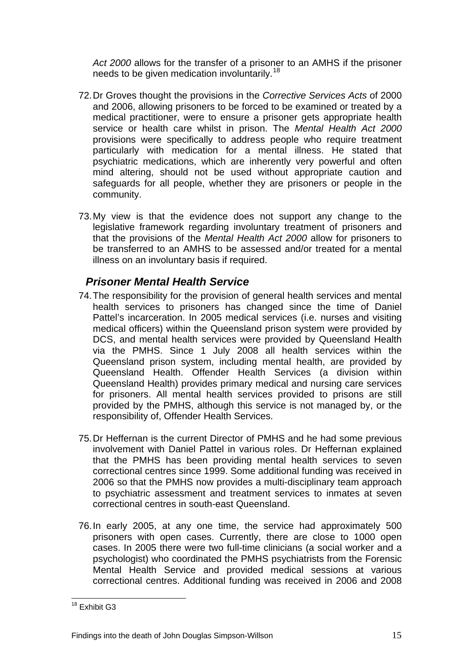<span id="page-17-0"></span>*Act 2000* allows for the transfer of a prisoner to an AMHS if the prisoner needs to be given medication involuntarily.<sup>[18](#page-17-1)</sup>

- 72. Dr Groves thought the provisions in the *Corrective Services Acts* of 2000 and 2006, allowing prisoners to be forced to be examined or treated by a medical practitioner, were to ensure a prisoner gets appropriate health service or health care whilst in prison. The *Mental Health Act 2000* provisions were specifically to address people who require treatment particularly with medication for a mental illness. He stated that psychiatric medications, which are inherently very powerful and often mind altering, should not be used without appropriate caution and safeguards for all people, whether they are prisoners or people in the community.
- 73. My view is that the evidence does not support any change to the legislative framework regarding involuntary treatment of prisoners and that the provisions of the *Mental Health Act 2000* allow for prisoners to be transferred to an AMHS to be assessed and/or treated for a mental illness on an involuntary basis if required.

# *Prisoner Mental Health Service*

- 74. The responsibility for the provision of general health services and mental health services to prisoners has changed since the time of Daniel Pattel's incarceration. In 2005 medical services (i.e. nurses and visiting medical officers) within the Queensland prison system were provided by DCS, and mental health services were provided by Queensland Health via the PMHS. Since 1 July 2008 all health services within the Queensland prison system, including mental health, are provided by Queensland Health. Offender Health Services (a division within Queensland Health) provides primary medical and nursing care services for prisoners. All mental health services provided to prisons are still provided by the PMHS, although this service is not managed by, or the responsibility of, Offender Health Services.
- 75. Dr Heffernan is the current Director of PMHS and he had some previous involvement with Daniel Pattel in various roles. Dr Heffernan explained that the PMHS has been providing mental health services to seven correctional centres since 1999. Some additional funding was received in 2006 so that the PMHS now provides a multi-disciplinary team approach to psychiatric assessment and treatment services to inmates at seven correctional centres in south-east Queensland.
- 76. In early 2005, at any one time, the service had approximately 500 prisoners with open cases. Currently, there are close to 1000 open cases. In 2005 there were two full-time clinicians (a social worker and a psychologist) who coordinated the PMHS psychiatrists from the Forensic Mental Health Service and provided medical sessions at various correctional centres. Additional funding was received in 2006 and 2008

<span id="page-17-1"></span> $\overline{a}$ <sup>18</sup> Exhibit G3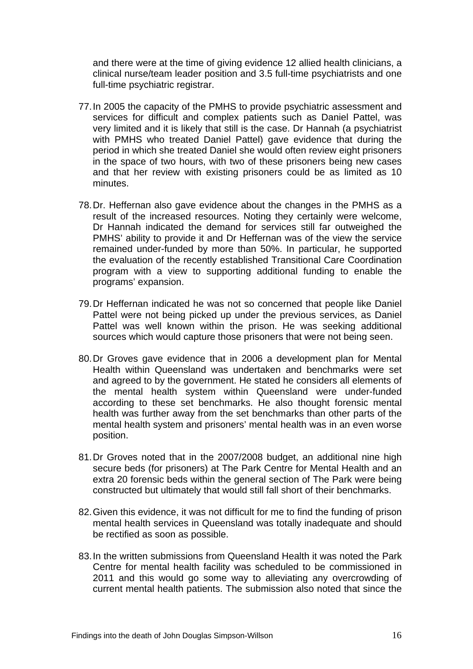and there were at the time of giving evidence 12 allied health clinicians, a clinical nurse/team leader position and 3.5 full-time psychiatrists and one full-time psychiatric registrar.

- 77. In 2005 the capacity of the PMHS to provide psychiatric assessment and services for difficult and complex patients such as Daniel Pattel, was very limited and it is likely that still is the case. Dr Hannah (a psychiatrist with PMHS who treated Daniel Pattel) gave evidence that during the period in which she treated Daniel she would often review eight prisoners in the space of two hours, with two of these prisoners being new cases and that her review with existing prisoners could be as limited as 10 minutes.
- 78. Dr. Heffernan also gave evidence about the changes in the PMHS as a result of the increased resources. Noting they certainly were welcome, Dr Hannah indicated the demand for services still far outweighed the PMHS' ability to provide it and Dr Heffernan was of the view the service remained under-funded by more than 50%. In particular, he supported the evaluation of the recently established Transitional Care Coordination program with a view to supporting additional funding to enable the programs' expansion.
- 79. Dr Heffernan indicated he was not so concerned that people like Daniel Pattel were not being picked up under the previous services, as Daniel Pattel was well known within the prison. He was seeking additional sources which would capture those prisoners that were not being seen.
- 80. Dr Groves gave evidence that in 2006 a development plan for Mental Health within Queensland was undertaken and benchmarks were set and agreed to by the government. He stated he considers all elements of the mental health system within Queensland were under-funded according to these set benchmarks. He also thought forensic mental health was further away from the set benchmarks than other parts of the mental health system and prisoners' mental health was in an even worse position.
- 81. Dr Groves noted that in the 2007/2008 budget, an additional nine high secure beds (for prisoners) at The Park Centre for Mental Health and an extra 20 forensic beds within the general section of The Park were being constructed but ultimately that would still fall short of their benchmarks.
- 82. Given this evidence, it was not difficult for me to find the funding of prison mental health services in Queensland was totally inadequate and should be rectified as soon as possible.
- 83. In the written submissions from Queensland Health it was noted the Park Centre for mental health facility was scheduled to be commissioned in 2011 and this would go some way to alleviating any overcrowding of current mental health patients. The submission also noted that since the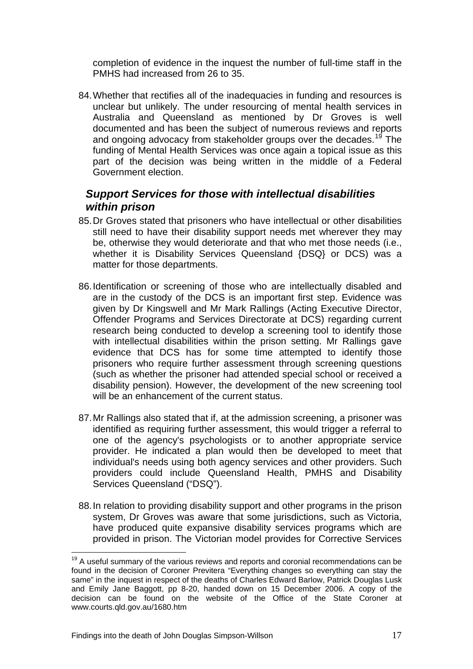<span id="page-19-0"></span>completion of evidence in the inquest the number of full-time staff in the PMHS had increased from 26 to 35.

84. Whether that rectifies all of the inadequacies in funding and resources is unclear but unlikely. The under resourcing of mental health services in Australia and Queensland as mentioned by Dr Groves is well documented and has been the subject of numerous reviews and reports and ongoing advocacy from stakeholder groups over the decades.<sup>[19](#page-19-1)</sup> The funding of Mental Health Services was once again a topical issue as this part of the decision was being written in the middle of a Federal Government election.

# *Support Services for those with intellectual disabilities within prison*

- 85. Dr Groves stated that prisoners who have intellectual or other disabilities still need to have their disability support needs met wherever they may be, otherwise they would deteriorate and that who met those needs (i.e., whether it is Disability Services Queensland {DSQ} or DCS) was a matter for those departments.
- 86. Identification or screening of those who are intellectually disabled and are in the custody of the DCS is an important first step. Evidence was given by Dr Kingswell and Mr Mark Rallings (Acting Executive Director, Offender Programs and Services Directorate at DCS) regarding current research being conducted to develop a screening tool to identify those with intellectual disabilities within the prison setting. Mr Rallings gave evidence that DCS has for some time attempted to identify those prisoners who require further assessment through screening questions (such as whether the prisoner had attended special school or received a disability pension). However, the development of the new screening tool will be an enhancement of the current status.
- 87. Mr Rallings also stated that if, at the admission screening, a prisoner was identified as requiring further assessment, this would trigger a referral to one of the agency's psychologists or to another appropriate service provider. He indicated a plan would then be developed to meet that individual's needs using both agency services and other providers. Such providers could include Queensland Health, PMHS and Disability Services Queensland ("DSQ").
- 88. In relation to providing disability support and other programs in the prison system, Dr Groves was aware that some jurisdictions, such as Victoria, have produced quite expansive disability services programs which are provided in prison. The Victorian model provides for Corrective Services

 $\overline{a}$ 

<span id="page-19-1"></span> $19$  A useful summary of the various reviews and reports and coronial recommendations can be found in the decision of Coroner Previtera "Everything changes so everything can stay the same" in the inquest in respect of the deaths of Charles Edward Barlow, Patrick Douglas Lusk and Emily Jane Baggott, pp 8-20, handed down on 15 December 2006. A copy of the decision can be found on the website of the Office of the State Coroner at www.courts.qld.gov.au/1680.htm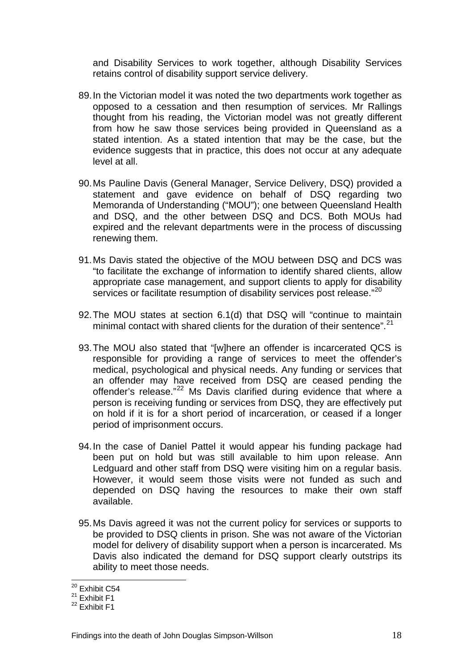and Disability Services to work together, although Disability Services retains control of disability support service delivery.

- 89. In the Victorian model it was noted the two departments work together as opposed to a cessation and then resumption of services. Mr Rallings thought from his reading, the Victorian model was not greatly different from how he saw those services being provided in Queensland as a stated intention. As a stated intention that may be the case, but the evidence suggests that in practice, this does not occur at any adequate level at all.
- 90. Ms Pauline Davis (General Manager, Service Delivery, DSQ) provided a statement and gave evidence on behalf of DSQ regarding two Memoranda of Understanding ("MOU"); one between Queensland Health and DSQ, and the other between DSQ and DCS. Both MOUs had expired and the relevant departments were in the process of discussing renewing them.
- 91. Ms Davis stated the objective of the MOU between DSQ and DCS was "to facilitate the exchange of information to identify shared clients, allow appropriate case management, and support clients to apply for disability services or facilitate resumption of disability services post release."<sup>[20](#page-20-0)</sup>
- 92. The MOU states at section 6.1(d) that DSQ will "continue to maintain minimal contact with shared clients for the duration of their sentence".<sup>[21](#page-20-1)</sup>
- 93. The MOU also stated that "[w]here an offender is incarcerated QCS is responsible for providing a range of services to meet the offender's medical, psychological and physical needs. Any funding or services that an offender may have received from DSQ are ceased pending the offender's release."<sup>[22](#page-20-2)</sup> Ms Davis clarified during evidence that where a person is receiving funding or services from DSQ, they are effectively put on hold if it is for a short period of incarceration, or ceased if a longer period of imprisonment occurs.
- 94. In the case of Daniel Pattel it would appear his funding package had been put on hold but was still available to him upon release. Ann Ledguard and other staff from DSQ were visiting him on a regular basis. However, it would seem those visits were not funded as such and depended on DSQ having the resources to make their own staff available.
- 95. Ms Davis agreed it was not the current policy for services or supports to be provided to DSQ clients in prison. She was not aware of the Victorian model for delivery of disability support when a person is incarcerated. Ms Davis also indicated the demand for DSQ support clearly outstrips its ability to meet those needs.

 $\overline{a}$ 

<sup>&</sup>lt;sup>20</sup> Exhibit C54

<span id="page-20-1"></span><span id="page-20-0"></span> $21$  Exhibit F1

<span id="page-20-2"></span> $22$  Exhibit F1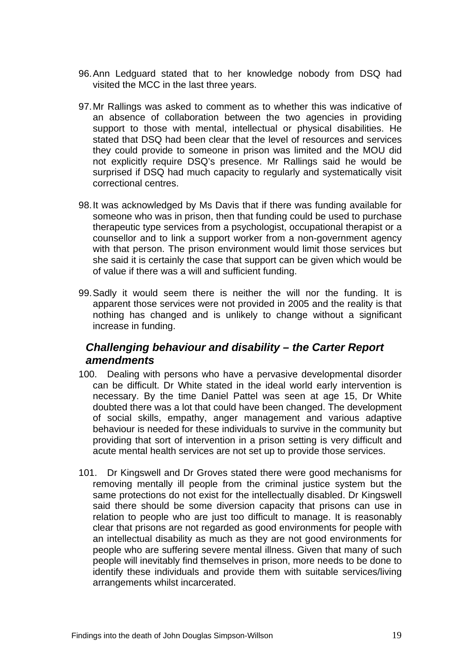- <span id="page-21-0"></span>96. Ann Ledguard stated that to her knowledge nobody from DSQ had visited the MCC in the last three years.
- 97. Mr Rallings was asked to comment as to whether this was indicative of an absence of collaboration between the two agencies in providing support to those with mental, intellectual or physical disabilities. He stated that DSQ had been clear that the level of resources and services they could provide to someone in prison was limited and the MOU did not explicitly require DSQ's presence. Mr Rallings said he would be surprised if DSQ had much capacity to regularly and systematically visit correctional centres.
- 98. It was acknowledged by Ms Davis that if there was funding available for someone who was in prison, then that funding could be used to purchase therapeutic type services from a psychologist, occupational therapist or a counsellor and to link a support worker from a non-government agency with that person. The prison environment would limit those services but she said it is certainly the case that support can be given which would be of value if there was a will and sufficient funding.
- 99. Sadly it would seem there is neither the will nor the funding. It is apparent those services were not provided in 2005 and the reality is that nothing has changed and is unlikely to change without a significant increase in funding.

# *Challenging behaviour and disability – the Carter Report amendments*

- 100. Dealing with persons who have a pervasive developmental disorder can be difficult. Dr White stated in the ideal world early intervention is necessary. By the time Daniel Pattel was seen at age 15, Dr White doubted there was a lot that could have been changed. The development of social skills, empathy, anger management and various adaptive behaviour is needed for these individuals to survive in the community but providing that sort of intervention in a prison setting is very difficult and acute mental health services are not set up to provide those services.
- 101. Dr Kingswell and Dr Groves stated there were good mechanisms for removing mentally ill people from the criminal justice system but the same protections do not exist for the intellectually disabled. Dr Kingswell said there should be some diversion capacity that prisons can use in relation to people who are just too difficult to manage. It is reasonably clear that prisons are not regarded as good environments for people with an intellectual disability as much as they are not good environments for people who are suffering severe mental illness. Given that many of such people will inevitably find themselves in prison, more needs to be done to identify these individuals and provide them with suitable services/living arrangements whilst incarcerated.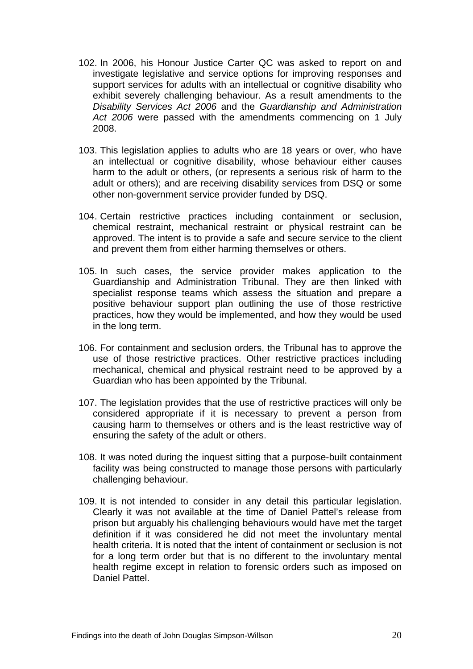- 102. In 2006, his Honour Justice Carter QC was asked to report on and investigate legislative and service options for improving responses and support services for adults with an intellectual or cognitive disability who exhibit severely challenging behaviour. As a result amendments to the *Disability Services Act 2006* and the *Guardianship and Administration Act 2006* were passed with the amendments commencing on 1 July 2008.
- 103. This legislation applies to adults who are 18 years or over, who have an intellectual or cognitive disability, whose behaviour either causes harm to the adult or others, (or represents a serious risk of harm to the adult or others); and are receiving disability services from DSQ or some other non-government service provider funded by DSQ.
- 104. Certain restrictive practices including containment or seclusion, chemical restraint, mechanical restraint or physical restraint can be approved. The intent is to provide a safe and secure service to the client and prevent them from either harming themselves or others.
- 105. In such cases, the service provider makes application to the Guardianship and Administration Tribunal. They are then linked with specialist response teams which assess the situation and prepare a positive behaviour support plan outlining the use of those restrictive practices, how they would be implemented, and how they would be used in the long term.
- 106. For containment and seclusion orders, the Tribunal has to approve the use of those restrictive practices. Other restrictive practices including mechanical, chemical and physical restraint need to be approved by a Guardian who has been appointed by the Tribunal.
- 107. The legislation provides that the use of restrictive practices will only be considered appropriate if it is necessary to prevent a person from causing harm to themselves or others and is the least restrictive way of ensuring the safety of the adult or others.
- 108. It was noted during the inquest sitting that a purpose-built containment facility was being constructed to manage those persons with particularly challenging behaviour.
- 109. It is not intended to consider in any detail this particular legislation. Clearly it was not available at the time of Daniel Pattel's release from prison but arguably his challenging behaviours would have met the target definition if it was considered he did not meet the involuntary mental health criteria. It is noted that the intent of containment or seclusion is not for a long term order but that is no different to the involuntary mental health regime except in relation to forensic orders such as imposed on Daniel Pattel.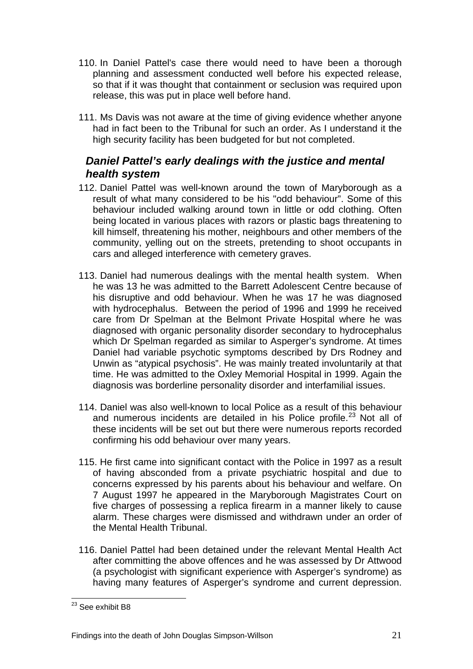- <span id="page-23-0"></span>110. In Daniel Pattel's case there would need to have been a thorough planning and assessment conducted well before his expected release, so that if it was thought that containment or seclusion was required upon release, this was put in place well before hand.
- 111. Ms Davis was not aware at the time of giving evidence whether anyone had in fact been to the Tribunal for such an order. As I understand it the high security facility has been budgeted for but not completed.

# *Daniel Pattel's early dealings with the justice and mental health system*

- 112. Daniel Pattel was well-known around the town of Maryborough as a result of what many considered to be his "odd behaviour". Some of this behaviour included walking around town in little or odd clothing. Often being located in various places with razors or plastic bags threatening to kill himself, threatening his mother, neighbours and other members of the community, yelling out on the streets, pretending to shoot occupants in cars and alleged interference with cemetery graves.
- 113. Daniel had numerous dealings with the mental health system. When he was 13 he was admitted to the Barrett Adolescent Centre because of his disruptive and odd behaviour. When he was 17 he was diagnosed with hydrocephalus. Between the period of 1996 and 1999 he received care from Dr Spelman at the Belmont Private Hospital where he was diagnosed with organic personality disorder secondary to hydrocephalus which Dr Spelman regarded as similar to Asperger's syndrome. At times Daniel had variable psychotic symptoms described by Drs Rodney and Unwin as "atypical psychosis". He was mainly treated involuntarily at that time. He was admitted to the Oxley Memorial Hospital in 1999. Again the diagnosis was borderline personality disorder and interfamilial issues.
- 114. Daniel was also well-known to local Police as a result of this behaviour and numerous incidents are detailed in his Police profile.<sup>[23](#page-23-1)</sup> Not all of these incidents will be set out but there were numerous reports recorded confirming his odd behaviour over many years.
- 115. He first came into significant contact with the Police in 1997 as a result of having absconded from a private psychiatric hospital and due to concerns expressed by his parents about his behaviour and welfare. On 7 August 1997 he appeared in the Maryborough Magistrates Court on five charges of possessing a replica firearm in a manner likely to cause alarm. These charges were dismissed and withdrawn under an order of the Mental Health Tribunal.
- 116. Daniel Pattel had been detained under the relevant Mental Health Act after committing the above offences and he was assessed by Dr Attwood (a psychologist with significant experience with Asperger's syndrome) as having many features of Asperger's syndrome and current depression.

<span id="page-23-1"></span> $\overline{a}$ <sup>23</sup> See exhibit B8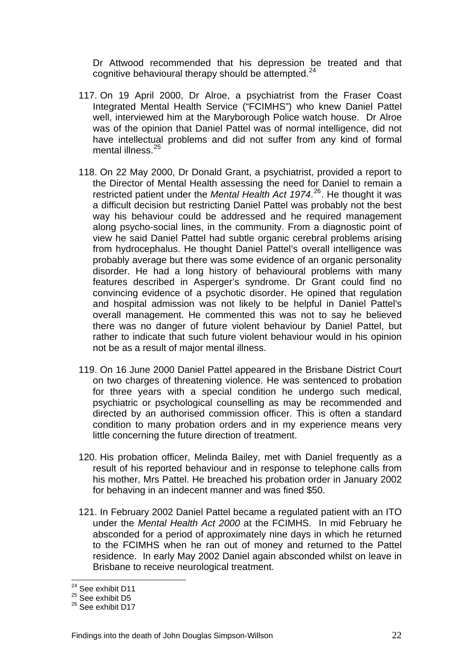Dr Attwood recommended that his depression be treated and that cognitive behavioural therapy should be attempted.<sup>[24](#page-24-0)</sup>

- 117. On 19 April 2000, Dr Alroe, a psychiatrist from the Fraser Coast Integrated Mental Health Service ("FCIMHS") who knew Daniel Pattel well, interviewed him at the Maryborough Police watch house. Dr Alroe was of the opinion that Daniel Pattel was of normal intelligence, did not have intellectual problems and did not suffer from any kind of formal mental illness.<sup>[25](#page-24-1)</sup>
- 118. On 22 May 2000, Dr Donald Grant, a psychiatrist, provided a report to the Director of Mental Health assessing the need for Daniel to remain a restricted patient under the *Mental Health Act 1974*. [26](#page-24-2). He thought it was a difficult decision but restricting Daniel Pattel was probably not the best way his behaviour could be addressed and he required management along psycho-social lines, in the community. From a diagnostic point of view he said Daniel Pattel had subtle organic cerebral problems arising from hydrocephalus. He thought Daniel Pattel's overall intelligence was probably average but there was some evidence of an organic personality disorder. He had a long history of behavioural problems with many features described in Asperger's syndrome. Dr Grant could find no convincing evidence of a psychotic disorder. He opined that regulation and hospital admission was not likely to be helpful in Daniel Pattel's overall management. He commented this was not to say he believed there was no danger of future violent behaviour by Daniel Pattel, but rather to indicate that such future violent behaviour would in his opinion not be as a result of major mental illness.
- 119. On 16 June 2000 Daniel Pattel appeared in the Brisbane District Court on two charges of threatening violence. He was sentenced to probation for three years with a special condition he undergo such medical, psychiatric or psychological counselling as may be recommended and directed by an authorised commission officer. This is often a standard condition to many probation orders and in my experience means very little concerning the future direction of treatment.
- 120. His probation officer, Melinda Bailey, met with Daniel frequently as a result of his reported behaviour and in response to telephone calls from his mother, Mrs Pattel. He breached his probation order in January 2002 for behaving in an indecent manner and was fined \$50.
- 121. In February 2002 Daniel Pattel became a regulated patient with an ITO under the *Mental Health Act 2000* at the FCIMHS. In mid February he absconded for a period of approximately nine days in which he returned to the FCIMHS when he ran out of money and returned to the Pattel residence. In early May 2002 Daniel again absconded whilst on leave in Brisbane to receive neurological treatment.

 $\overline{a}$ <sup>24</sup> See exhibit D11

<span id="page-24-1"></span><span id="page-24-0"></span><sup>&</sup>lt;sup>25</sup> See exhibit D5

<span id="page-24-2"></span><sup>&</sup>lt;sup>26</sup> See exhibit D17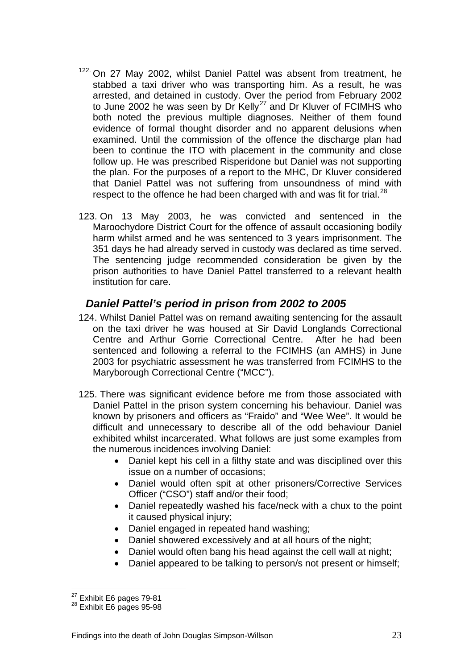- <span id="page-25-0"></span><sup>122.</sup> On 27 May 2002, whilst Daniel Pattel was absent from treatment, he stabbed a taxi driver who was transporting him. As a result, he was arrested, and detained in custody. Over the period from February 2002 to June 2002 he was seen by Dr Kelly<sup>[27](#page-25-1)</sup> and Dr Kluver of FCIMHS who both noted the previous multiple diagnoses. Neither of them found evidence of formal thought disorder and no apparent delusions when examined. Until the commission of the offence the discharge plan had been to continue the ITO with placement in the community and close follow up. He was prescribed Risperidone but Daniel was not supporting the plan. For the purposes of a report to the MHC, Dr Kluver considered that Daniel Pattel was not suffering from unsoundness of mind with respect to the offence he had been charged with and was fit for trial.<sup>[28](#page-25-2)</sup>
- 123. On 13 May 2003, he was convicted and sentenced in the Maroochydore District Court for the offence of assault occasioning bodily harm whilst armed and he was sentenced to 3 years imprisonment. The 351 days he had already served in custody was declared as time served. The sentencing judge recommended consideration be given by the prison authorities to have Daniel Pattel transferred to a relevant health institution for care.

# *Daniel Pattel's period in prison from 2002 to 2005*

- 124. Whilst Daniel Pattel was on remand awaiting sentencing for the assault on the taxi driver he was housed at Sir David Longlands Correctional Centre and Arthur Gorrie Correctional Centre. After he had been sentenced and following a referral to the FCIMHS (an AMHS) in June 2003 for psychiatric assessment he was transferred from FCIMHS to the Maryborough Correctional Centre ("MCC").
- 125. There was significant evidence before me from those associated with Daniel Pattel in the prison system concerning his behaviour. Daniel was known by prisoners and officers as "Fraido" and "Wee Wee". It would be difficult and unnecessary to describe all of the odd behaviour Daniel exhibited whilst incarcerated. What follows are just some examples from the numerous incidences involving Daniel:
	- Daniel kept his cell in a filthy state and was disciplined over this issue on a number of occasions;
	- Daniel would often spit at other prisoners/Corrective Services Officer ("CSO") staff and/or their food;
	- Daniel repeatedly washed his face/neck with a chux to the point it caused physical injury;
	- Daniel engaged in repeated hand washing;
	- Daniel showered excessively and at all hours of the night;
	- Daniel would often bang his head against the cell wall at night;
	- Daniel appeared to be talking to person/s not present or himself;

 $\overline{a}$ 

<span id="page-25-2"></span><span id="page-25-1"></span> $^{27}$  Exhibit E6 pages 79-81<br> $^{28}$  Exhibit E6 pages 95-98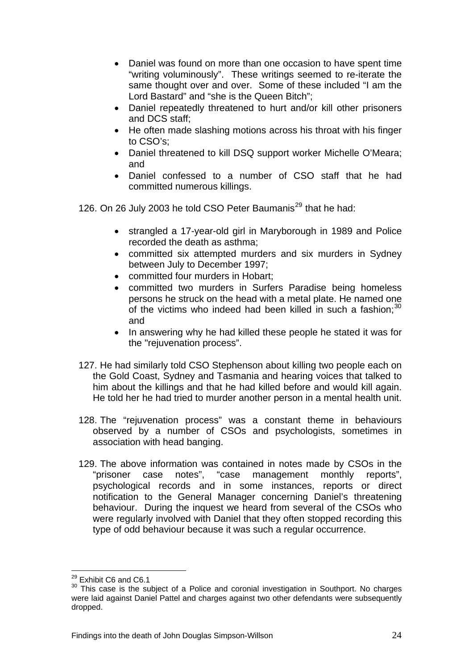- Daniel was found on more than one occasion to have spent time "writing voluminously". These writings seemed to re-iterate the same thought over and over. Some of these included "I am the Lord Bastard" and "she is the Queen Bitch";
- Daniel repeatedly threatened to hurt and/or kill other prisoners and DCS staff;
- He often made slashing motions across his throat with his finger to CSO's;
- Daniel threatened to kill DSQ support worker Michelle O'Meara; and
- Daniel confessed to a number of CSO staff that he had committed numerous killings.

126. On 26 July 2003 he told CSO Peter Baumanis<sup>[29](#page-26-0)</sup> that he had:

- strangled a 17-year-old girl in Maryborough in 1989 and Police recorded the death as asthma;
- committed six attempted murders and six murders in Sydney between July to December 1997;
- committed four murders in Hobart;
- committed two murders in Surfers Paradise being homeless persons he struck on the head with a metal plate. He named one of the victims who indeed had been killed in such a fashion; $30$ and
- In answering why he had killed these people he stated it was for the "rejuvenation process".
- 127. He had similarly told CSO Stephenson about killing two people each on the Gold Coast, Sydney and Tasmania and hearing voices that talked to him about the killings and that he had killed before and would kill again. He told her he had tried to murder another person in a mental health unit.
- 128. The "rejuvenation process" was a constant theme in behaviours observed by a number of CSOs and psychologists, sometimes in association with head banging.
- 129. The above information was contained in notes made by CSOs in the "prisoner case notes", "case management monthly reports", psychological records and in some instances, reports or direct notification to the General Manager concerning Daniel's threatening behaviour. During the inquest we heard from several of the CSOs who were regularly involved with Daniel that they often stopped recording this type of odd behaviour because it was such a regular occurrence.

 $\overline{a}$ <sup>29</sup> Exhibit C6 and C6.1

<span id="page-26-1"></span><span id="page-26-0"></span><sup>&</sup>lt;sup>30</sup> This case is the subject of a Police and coronial investigation in Southport. No charges were laid against Daniel Pattel and charges against two other defendants were subsequently dropped.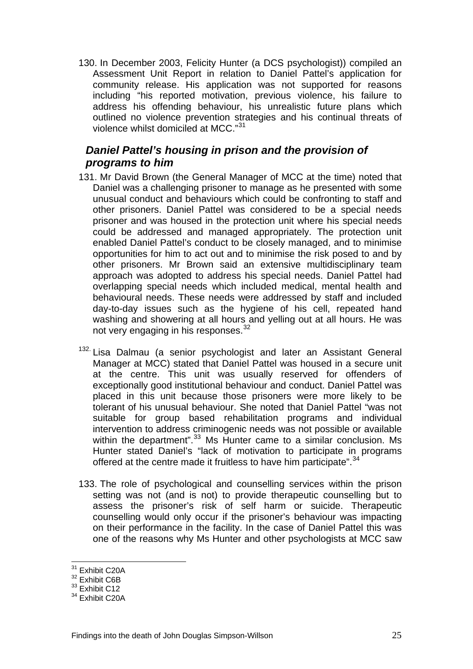<span id="page-27-0"></span>130. In December 2003, Felicity Hunter (a DCS psychologist)) compiled an Assessment Unit Report in relation to Daniel Pattel's application for community release. His application was not supported for reasons including "his reported motivation, previous violence, his failure to address his offending behaviour, his unrealistic future plans which outlined no violence prevention strategies and his continual threats of violence whilst domiciled at MCC."<sup>[31](#page-27-1)</sup>

# *Daniel Pattel's housing in prison and the provision of programs to him*

- 131. Mr David Brown (the General Manager of MCC at the time) noted that Daniel was a challenging prisoner to manage as he presented with some unusual conduct and behaviours which could be confronting to staff and other prisoners. Daniel Pattel was considered to be a special needs prisoner and was housed in the protection unit where his special needs could be addressed and managed appropriately. The protection unit enabled Daniel Pattel's conduct to be closely managed, and to minimise opportunities for him to act out and to minimise the risk posed to and by other prisoners. Mr Brown said an extensive multidisciplinary team approach was adopted to address his special needs. Daniel Pattel had overlapping special needs which included medical, mental health and behavioural needs. These needs were addressed by staff and included day-to-day issues such as the hygiene of his cell, repeated hand washing and showering at all hours and yelling out at all hours. He was not very engaging in his responses.<sup>[32](#page-27-2)</sup>
- <sup>132.</sup> Lisa Dalmau (a senior psychologist and later an Assistant General Manager at MCC) stated that Daniel Pattel was housed in a secure unit at the centre. This unit was usually reserved for offenders of exceptionally good institutional behaviour and conduct. Daniel Pattel was placed in this unit because those prisoners were more likely to be tolerant of his unusual behaviour. She noted that Daniel Pattel "was not suitable for group based rehabilitation programs and individual intervention to address criminogenic needs was not possible or available within the department".<sup>[33](#page-27-3)</sup> Ms Hunter came to a similar conclusion. Ms Hunter stated Daniel's "lack of motivation to participate in programs offered at the centre made it fruitless to have him participate".<sup>[34](#page-27-4)</sup>
- 133. The role of psychological and counselling services within the prison setting was not (and is not) to provide therapeutic counselling but to assess the prisoner's risk of self harm or suicide. Therapeutic counselling would only occur if the prisoner's behaviour was impacting on their performance in the facility. In the case of Daniel Pattel this was one of the reasons why Ms Hunter and other psychologists at MCC saw

 $\overline{a}$ 

<sup>&</sup>lt;sup>31</sup> Exhibit C20A

<span id="page-27-2"></span><span id="page-27-1"></span><sup>32</sup> Exhibit C6B

<span id="page-27-3"></span><sup>&</sup>lt;sup>33</sup> Exhibit C12

<span id="page-27-4"></span><sup>&</sup>lt;sup>34</sup> Exhibit C20A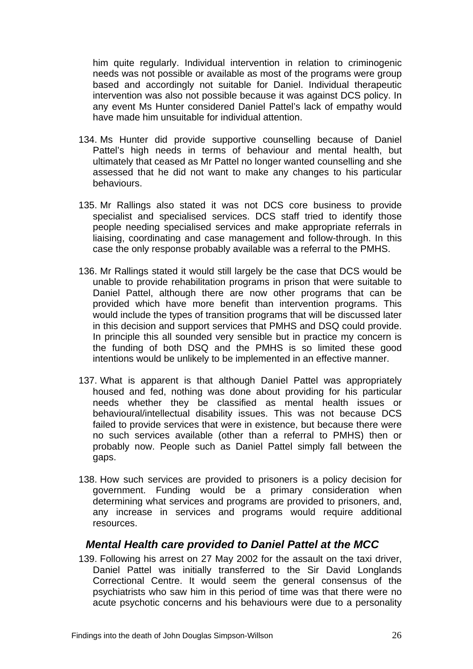<span id="page-28-0"></span>him quite regularly. Individual intervention in relation to criminogenic needs was not possible or available as most of the programs were group based and accordingly not suitable for Daniel. Individual therapeutic intervention was also not possible because it was against DCS policy. In any event Ms Hunter considered Daniel Pattel's lack of empathy would have made him unsuitable for individual attention.

- 134. Ms Hunter did provide supportive counselling because of Daniel Pattel's high needs in terms of behaviour and mental health, but ultimately that ceased as Mr Pattel no longer wanted counselling and she assessed that he did not want to make any changes to his particular behaviours.
- 135. Mr Rallings also stated it was not DCS core business to provide specialist and specialised services. DCS staff tried to identify those people needing specialised services and make appropriate referrals in liaising, coordinating and case management and follow-through. In this case the only response probably available was a referral to the PMHS.
- 136. Mr Rallings stated it would still largely be the case that DCS would be unable to provide rehabilitation programs in prison that were suitable to Daniel Pattel, although there are now other programs that can be provided which have more benefit than intervention programs. This would include the types of transition programs that will be discussed later in this decision and support services that PMHS and DSQ could provide. In principle this all sounded very sensible but in practice my concern is the funding of both DSQ and the PMHS is so limited these good intentions would be unlikely to be implemented in an effective manner.
- 137. What is apparent is that although Daniel Pattel was appropriately housed and fed, nothing was done about providing for his particular needs whether they be classified as mental health issues or behavioural/intellectual disability issues. This was not because DCS failed to provide services that were in existence, but because there were no such services available (other than a referral to PMHS) then or probably now. People such as Daniel Pattel simply fall between the gaps.
- 138. How such services are provided to prisoners is a policy decision for government. Funding would be a primary consideration when determining what services and programs are provided to prisoners, and, any increase in services and programs would require additional resources.

#### *Mental Health care provided to Daniel Pattel at the MCC*

139. Following his arrest on 27 May 2002 for the assault on the taxi driver, Daniel Pattel was initially transferred to the Sir David Longlands Correctional Centre. It would seem the general consensus of the psychiatrists who saw him in this period of time was that there were no acute psychotic concerns and his behaviours were due to a personality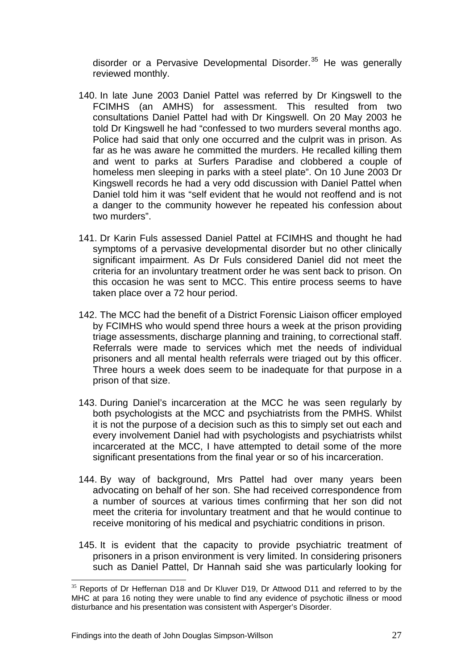disorder or a Pervasive Developmental Disorder. $35$  He was generally reviewed monthly.

- 140. In late June 2003 Daniel Pattel was referred by Dr Kingswell to the FCIMHS (an AMHS) for assessment. This resulted from two consultations Daniel Pattel had with Dr Kingswell. On 20 May 2003 he told Dr Kingswell he had "confessed to two murders several months ago. Police had said that only one occurred and the culprit was in prison. As far as he was aware he committed the murders. He recalled killing them and went to parks at Surfers Paradise and clobbered a couple of homeless men sleeping in parks with a steel plate". On 10 June 2003 Dr Kingswell records he had a very odd discussion with Daniel Pattel when Daniel told him it was "self evident that he would not reoffend and is not a danger to the community however he repeated his confession about two murders".
- 141. Dr Karin Fuls assessed Daniel Pattel at FCIMHS and thought he had symptoms of a pervasive developmental disorder but no other clinically significant impairment. As Dr Fuls considered Daniel did not meet the criteria for an involuntary treatment order he was sent back to prison. On this occasion he was sent to MCC. This entire process seems to have taken place over a 72 hour period.
- 142. The MCC had the benefit of a District Forensic Liaison officer employed by FCIMHS who would spend three hours a week at the prison providing triage assessments, discharge planning and training, to correctional staff. Referrals were made to services which met the needs of individual prisoners and all mental health referrals were triaged out by this officer. Three hours a week does seem to be inadequate for that purpose in a prison of that size.
- 143. During Daniel's incarceration at the MCC he was seen regularly by both psychologists at the MCC and psychiatrists from the PMHS. Whilst it is not the purpose of a decision such as this to simply set out each and every involvement Daniel had with psychologists and psychiatrists whilst incarcerated at the MCC, I have attempted to detail some of the more significant presentations from the final year or so of his incarceration.
- 144. By way of background, Mrs Pattel had over many years been advocating on behalf of her son. She had received correspondence from a number of sources at various times confirming that her son did not meet the criteria for involuntary treatment and that he would continue to receive monitoring of his medical and psychiatric conditions in prison.
- 145. It is evident that the capacity to provide psychiatric treatment of prisoners in a prison environment is very limited. In considering prisoners such as Daniel Pattel, Dr Hannah said she was particularly looking for

<span id="page-29-0"></span> $\overline{a}$ <sup>35</sup> Reports of Dr Heffernan D18 and Dr Kluver D19, Dr Attwood D11 and referred to by the MHC at para 16 noting they were unable to find any evidence of psychotic illness or mood disturbance and his presentation was consistent with Asperger's Disorder.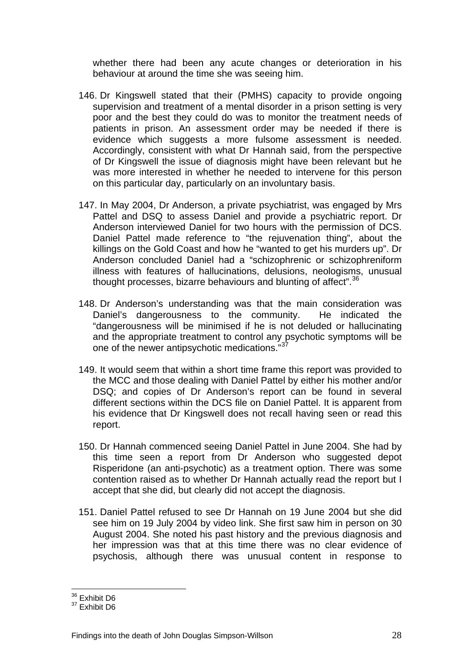whether there had been any acute changes or deterioration in his behaviour at around the time she was seeing him.

- 146. Dr Kingswell stated that their (PMHS) capacity to provide ongoing supervision and treatment of a mental disorder in a prison setting is very poor and the best they could do was to monitor the treatment needs of patients in prison. An assessment order may be needed if there is evidence which suggests a more fulsome assessment is needed. Accordingly, consistent with what Dr Hannah said, from the perspective of Dr Kingswell the issue of diagnosis might have been relevant but he was more interested in whether he needed to intervene for this person on this particular day, particularly on an involuntary basis.
- 147. In May 2004, Dr Anderson, a private psychiatrist, was engaged by Mrs Pattel and DSQ to assess Daniel and provide a psychiatric report. Dr Anderson interviewed Daniel for two hours with the permission of DCS. Daniel Pattel made reference to "the rejuvenation thing", about the killings on the Gold Coast and how he "wanted to get his murders up". Dr Anderson concluded Daniel had a "schizophrenic or schizophreniform illness with features of hallucinations, delusions, neologisms, unusual thought processes, bizarre behaviours and blunting of affect".<sup>[36](#page-30-0)</sup>
- 148. Dr Anderson's understanding was that the main consideration was Daniel's dangerousness to the community. He indicated the "dangerousness will be minimised if he is not deluded or hallucinating and the appropriate treatment to control any psychotic symptoms will be one of the newer antipsychotic medications."<sup>3</sup>
- 149. It would seem that within a short time frame this report was provided to the MCC and those dealing with Daniel Pattel by either his mother and/or DSQ; and copies of Dr Anderson's report can be found in several different sections within the DCS file on Daniel Pattel. It is apparent from his evidence that Dr Kingswell does not recall having seen or read this report.
- 150. Dr Hannah commenced seeing Daniel Pattel in June 2004. She had by this time seen a report from Dr Anderson who suggested depot Risperidone (an anti-psychotic) as a treatment option. There was some contention raised as to whether Dr Hannah actually read the report but I accept that she did, but clearly did not accept the diagnosis.
- 151. Daniel Pattel refused to see Dr Hannah on 19 June 2004 but she did see him on 19 July 2004 by video link. She first saw him in person on 30 August 2004. She noted his past history and the previous diagnosis and her impression was that at this time there was no clear evidence of psychosis, although there was unusual content in response to

 $\overline{a}$ <sup>36</sup> Exhibit D6

<span id="page-30-1"></span><span id="page-30-0"></span><sup>&</sup>lt;sup>37</sup> Exhibit D6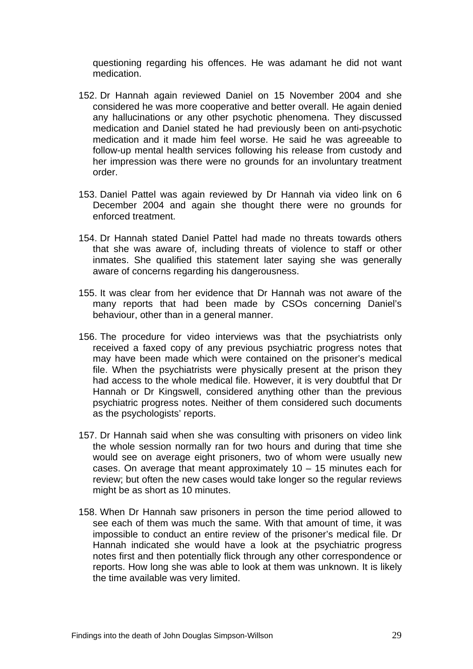questioning regarding his offences. He was adamant he did not want medication.

- 152. Dr Hannah again reviewed Daniel on 15 November 2004 and she considered he was more cooperative and better overall. He again denied any hallucinations or any other psychotic phenomena. They discussed medication and Daniel stated he had previously been on anti-psychotic medication and it made him feel worse. He said he was agreeable to follow-up mental health services following his release from custody and her impression was there were no grounds for an involuntary treatment order.
- 153. Daniel Pattel was again reviewed by Dr Hannah via video link on 6 December 2004 and again she thought there were no grounds for enforced treatment.
- 154. Dr Hannah stated Daniel Pattel had made no threats towards others that she was aware of, including threats of violence to staff or other inmates. She qualified this statement later saying she was generally aware of concerns regarding his dangerousness.
- 155. It was clear from her evidence that Dr Hannah was not aware of the many reports that had been made by CSOs concerning Daniel's behaviour, other than in a general manner.
- 156. The procedure for video interviews was that the psychiatrists only received a faxed copy of any previous psychiatric progress notes that may have been made which were contained on the prisoner's medical file. When the psychiatrists were physically present at the prison they had access to the whole medical file. However, it is very doubtful that Dr Hannah or Dr Kingswell, considered anything other than the previous psychiatric progress notes. Neither of them considered such documents as the psychologists' reports.
- 157. Dr Hannah said when she was consulting with prisoners on video link the whole session normally ran for two hours and during that time she would see on average eight prisoners, two of whom were usually new cases. On average that meant approximately 10 – 15 minutes each for review; but often the new cases would take longer so the regular reviews might be as short as 10 minutes.
- 158. When Dr Hannah saw prisoners in person the time period allowed to see each of them was much the same. With that amount of time, it was impossible to conduct an entire review of the prisoner's medical file. Dr Hannah indicated she would have a look at the psychiatric progress notes first and then potentially flick through any other correspondence or reports. How long she was able to look at them was unknown. It is likely the time available was very limited.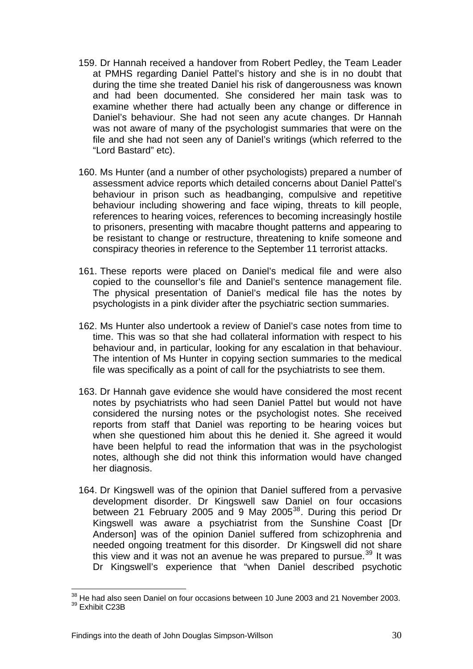- 159. Dr Hannah received a handover from Robert Pedley, the Team Leader at PMHS regarding Daniel Pattel's history and she is in no doubt that during the time she treated Daniel his risk of dangerousness was known and had been documented. She considered her main task was to examine whether there had actually been any change or difference in Daniel's behaviour. She had not seen any acute changes. Dr Hannah was not aware of many of the psychologist summaries that were on the file and she had not seen any of Daniel's writings (which referred to the "Lord Bastard" etc).
- 160. Ms Hunter (and a number of other psychologists) prepared a number of assessment advice reports which detailed concerns about Daniel Pattel's behaviour in prison such as headbanging, compulsive and repetitive behaviour including showering and face wiping, threats to kill people, references to hearing voices, references to becoming increasingly hostile to prisoners, presenting with macabre thought patterns and appearing to be resistant to change or restructure, threatening to knife someone and conspiracy theories in reference to the September 11 terrorist attacks.
- 161. These reports were placed on Daniel's medical file and were also copied to the counsellor's file and Daniel's sentence management file. The physical presentation of Daniel's medical file has the notes by psychologists in a pink divider after the psychiatric section summaries.
- 162. Ms Hunter also undertook a review of Daniel's case notes from time to time. This was so that she had collateral information with respect to his behaviour and, in particular, looking for any escalation in that behaviour. The intention of Ms Hunter in copying section summaries to the medical file was specifically as a point of call for the psychiatrists to see them.
- 163. Dr Hannah gave evidence she would have considered the most recent notes by psychiatrists who had seen Daniel Pattel but would not have considered the nursing notes or the psychologist notes. She received reports from staff that Daniel was reporting to be hearing voices but when she questioned him about this he denied it. She agreed it would have been helpful to read the information that was in the psychologist notes, although she did not think this information would have changed her diagnosis.
- 164. Dr Kingswell was of the opinion that Daniel suffered from a pervasive development disorder. Dr Kingswell saw Daniel on four occasions between 21 February 2005 and 9 May 2005<sup>[38](#page-32-0)</sup>. During this period Dr Kingswell was aware a psychiatrist from the Sunshine Coast [Dr Anderson] was of the opinion Daniel suffered from schizophrenia and needed ongoing treatment for this disorder. Dr Kingswell did not share this view and it was not an avenue he was prepared to pursue. $39$  It was Dr Kingswell's experience that "when Daniel described psychotic

 $\overline{a}$ 

<span id="page-32-1"></span><span id="page-32-0"></span> $38$  He had also seen Daniel on four occasions between 10 June 2003 and 21 November 2003. 39 Exhibit C23B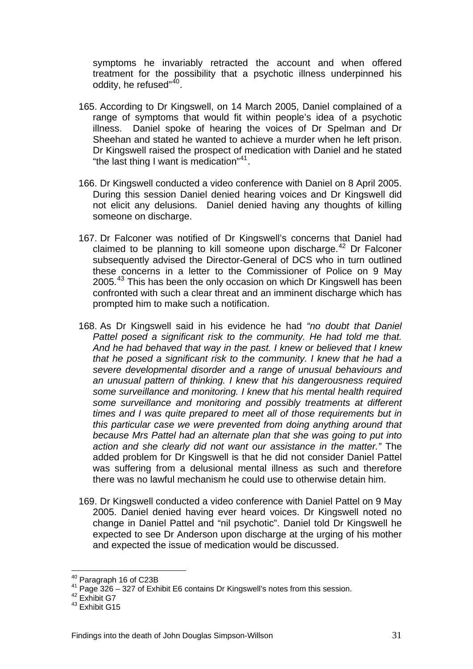symptoms he invariably retracted the account and when offered treatment for the possibility that a psychotic illness underpinned his oddity, he refused"[40](#page-33-0).

- 165. According to Dr Kingswell, on 14 March 2005, Daniel complained of a range of symptoms that would fit within people's idea of a psychotic illness. Daniel spoke of hearing the voices of Dr Spelman and Dr Sheehan and stated he wanted to achieve a murder when he left prison. Dr Kingswell raised the prospect of medication with Daniel and he stated "the last thing I want is medication"<sup>[41](#page-33-1)</sup>.
- 166. Dr Kingswell conducted a video conference with Daniel on 8 April 2005. During this session Daniel denied hearing voices and Dr Kingswell did not elicit any delusions. Daniel denied having any thoughts of killing someone on discharge.
- 167. Dr Falconer was notified of Dr Kingswell's concerns that Daniel had claimed to be planning to kill someone upon discharge.<sup>[42](#page-33-2)</sup> Dr Falconer subsequently advised the Director-General of DCS who in turn outlined these concerns in a letter to the Commissioner of Police on 9 May 2005.<sup>[43](#page-33-3)</sup> This has been the only occasion on which Dr Kingswell has been confronted with such a clear threat and an imminent discharge which has prompted him to make such a notification.
- 168. As Dr Kingswell said in his evidence he had *"no doubt that Daniel Pattel posed a significant risk to the community. He had told me that. And he had behaved that way in the past. I knew or believed that I knew that he posed a significant risk to the community. I knew that he had a severe developmental disorder and a range of unusual behaviours and an unusual pattern of thinking. I knew that his dangerousness required some surveillance and monitoring. I knew that his mental health required some surveillance and monitoring and possibly treatments at different times and I was quite prepared to meet all of those requirements but in this particular case we were prevented from doing anything around that because Mrs Pattel had an alternate plan that she was going to put into action and she clearly did not want our assistance in the matter."* The added problem for Dr Kingswell is that he did not consider Daniel Pattel was suffering from a delusional mental illness as such and therefore there was no lawful mechanism he could use to otherwise detain him.
- 169. Dr Kingswell conducted a video conference with Daniel Pattel on 9 May 2005. Daniel denied having ever heard voices. Dr Kingswell noted no change in Daniel Pattel and "nil psychotic". Daniel told Dr Kingswell he expected to see Dr Anderson upon discharge at the urging of his mother and expected the issue of medication would be discussed.

<span id="page-33-0"></span><sup>&</sup>lt;sup>40</sup> Paragraph 16 of C23B

<span id="page-33-1"></span><sup>&</sup>lt;sup>41</sup> Page 326 – 327 of Exhibit E6 contains Dr Kingswell's notes from this session.  $42$  Exhibit G7

<span id="page-33-3"></span><span id="page-33-2"></span> $43$  Exhibit G15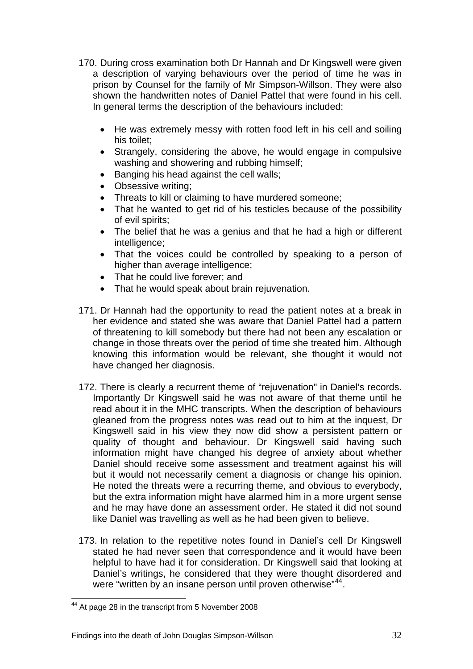- 170. During cross examination both Dr Hannah and Dr Kingswell were given a description of varying behaviours over the period of time he was in prison by Counsel for the family of Mr Simpson-Willson. They were also shown the handwritten notes of Daniel Pattel that were found in his cell. In general terms the description of the behaviours included:
	- He was extremely messy with rotten food left in his cell and soiling his toilet;
	- Strangely, considering the above, he would engage in compulsive washing and showering and rubbing himself;
	- Banging his head against the cell walls;
	- Obsessive writing;
	- Threats to kill or claiming to have murdered someone;
	- That he wanted to get rid of his testicles because of the possibility of evil spirits;
	- The belief that he was a genius and that he had a high or different intelligence;
	- That the voices could be controlled by speaking to a person of higher than average intelligence;
	- That he could live forever; and
	- That he would speak about brain rejuvenation.
- 171. Dr Hannah had the opportunity to read the patient notes at a break in her evidence and stated she was aware that Daniel Pattel had a pattern of threatening to kill somebody but there had not been any escalation or change in those threats over the period of time she treated him. Although knowing this information would be relevant, she thought it would not have changed her diagnosis.
- 172. There is clearly a recurrent theme of "rejuvenation" in Daniel's records. Importantly Dr Kingswell said he was not aware of that theme until he read about it in the MHC transcripts. When the description of behaviours gleaned from the progress notes was read out to him at the inquest, Dr Kingswell said in his view they now did show a persistent pattern or quality of thought and behaviour. Dr Kingswell said having such information might have changed his degree of anxiety about whether Daniel should receive some assessment and treatment against his will but it would not necessarily cement a diagnosis or change his opinion. He noted the threats were a recurring theme, and obvious to everybody, but the extra information might have alarmed him in a more urgent sense and he may have done an assessment order. He stated it did not sound like Daniel was travelling as well as he had been given to believe.
- 173. In relation to the repetitive notes found in Daniel's cell Dr Kingswell stated he had never seen that correspondence and it would have been helpful to have had it for consideration. Dr Kingswell said that looking at Daniel's writings, he considered that they were thought disordered and were "written by an insane person until proven otherwise"<sup>[44](#page-34-0)</sup>.

 $\overline{a}$ 

<span id="page-34-0"></span> $44$  At page 28 in the transcript from 5 November 2008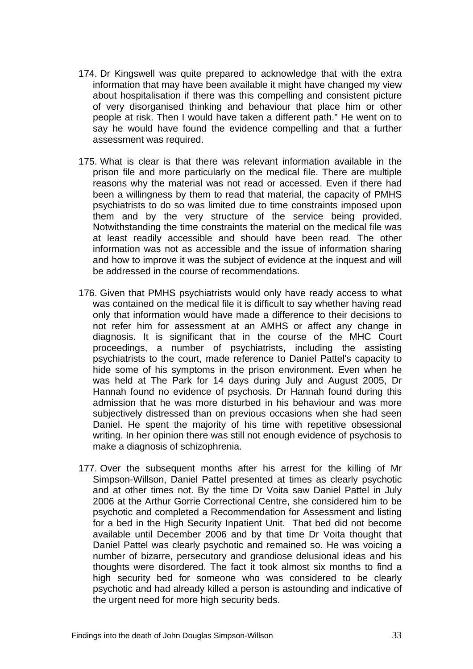- 174. Dr Kingswell was quite prepared to acknowledge that with the extra information that may have been available it might have changed my view about hospitalisation if there was this compelling and consistent picture of very disorganised thinking and behaviour that place him or other people at risk. Then I would have taken a different path." He went on to say he would have found the evidence compelling and that a further assessment was required.
- 175. What is clear is that there was relevant information available in the prison file and more particularly on the medical file. There are multiple reasons why the material was not read or accessed. Even if there had been a willingness by them to read that material, the capacity of PMHS psychiatrists to do so was limited due to time constraints imposed upon them and by the very structure of the service being provided. Notwithstanding the time constraints the material on the medical file was at least readily accessible and should have been read. The other information was not as accessible and the issue of information sharing and how to improve it was the subject of evidence at the inquest and will be addressed in the course of recommendations.
- 176. Given that PMHS psychiatrists would only have ready access to what was contained on the medical file it is difficult to say whether having read only that information would have made a difference to their decisions to not refer him for assessment at an AMHS or affect any change in diagnosis. It is significant that in the course of the MHC Court proceedings, a number of psychiatrists, including the assisting psychiatrists to the court, made reference to Daniel Pattel's capacity to hide some of his symptoms in the prison environment. Even when he was held at The Park for 14 days during July and August 2005, Dr Hannah found no evidence of psychosis. Dr Hannah found during this admission that he was more disturbed in his behaviour and was more subjectively distressed than on previous occasions when she had seen Daniel. He spent the majority of his time with repetitive obsessional writing. In her opinion there was still not enough evidence of psychosis to make a diagnosis of schizophrenia.
- 177. Over the subsequent months after his arrest for the killing of Mr Simpson-Willson, Daniel Pattel presented at times as clearly psychotic and at other times not. By the time Dr Voita saw Daniel Pattel in July 2006 at the Arthur Gorrie Correctional Centre, she considered him to be psychotic and completed a Recommendation for Assessment and listing for a bed in the High Security Inpatient Unit. That bed did not become available until December 2006 and by that time Dr Voita thought that Daniel Pattel was clearly psychotic and remained so. He was voicing a number of bizarre, persecutory and grandiose delusional ideas and his thoughts were disordered. The fact it took almost six months to find a high security bed for someone who was considered to be clearly psychotic and had already killed a person is astounding and indicative of the urgent need for more high security beds.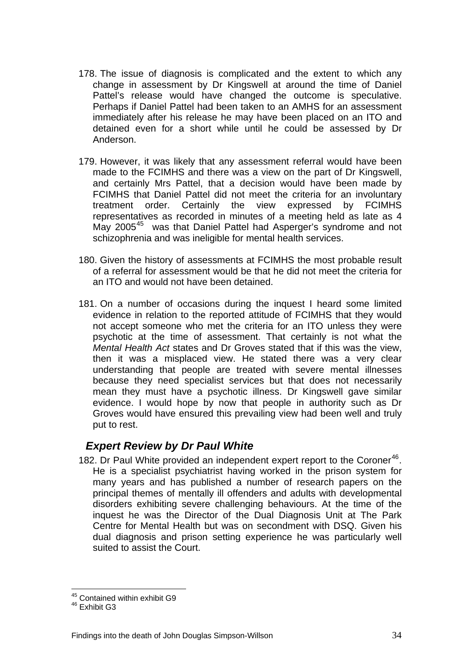- <span id="page-36-0"></span>178. The issue of diagnosis is complicated and the extent to which any change in assessment by Dr Kingswell at around the time of Daniel Pattel's release would have changed the outcome is speculative. Perhaps if Daniel Pattel had been taken to an AMHS for an assessment immediately after his release he may have been placed on an ITO and detained even for a short while until he could be assessed by Dr Anderson.
- 179. However, it was likely that any assessment referral would have been made to the FCIMHS and there was a view on the part of Dr Kingswell, and certainly Mrs Pattel, that a decision would have been made by FCIMHS that Daniel Pattel did not meet the criteria for an involuntary treatment order. Certainly the view expressed by FCIMHS representatives as recorded in minutes of a meeting held as late as 4 May 2005<sup>[45](#page-36-1)</sup> was that Daniel Pattel had Asperger's syndrome and not schizophrenia and was ineligible for mental health services.
- 180. Given the history of assessments at FCIMHS the most probable result of a referral for assessment would be that he did not meet the criteria for an ITO and would not have been detained.
- 181. On a number of occasions during the inquest I heard some limited evidence in relation to the reported attitude of FCIMHS that they would not accept someone who met the criteria for an ITO unless they were psychotic at the time of assessment. That certainly is not what the *Mental Health Act* states and Dr Groves stated that if this was the view, then it was a misplaced view. He stated there was a very clear understanding that people are treated with severe mental illnesses because they need specialist services but that does not necessarily mean they must have a psychotic illness. Dr Kingswell gave similar evidence. I would hope by now that people in authority such as Dr Groves would have ensured this prevailing view had been well and truly put to rest.

# *Expert Review by Dr Paul White*

182. Dr Paul White provided an independent expert report to the Coroner<sup>[46](#page-36-2)</sup>. He is a specialist psychiatrist having worked in the prison system for many years and has published a number of research papers on the principal themes of mentally ill offenders and adults with developmental disorders exhibiting severe challenging behaviours. At the time of the inquest he was the Director of the Dual Diagnosis Unit at The Park Centre for Mental Health but was on secondment with DSQ. Given his dual diagnosis and prison setting experience he was particularly well suited to assist the Court.

 $\overline{a}$ 

<sup>&</sup>lt;sup>45</sup> Contained within exhibit G9

<span id="page-36-2"></span><span id="page-36-1"></span><sup>46</sup> Exhibit G3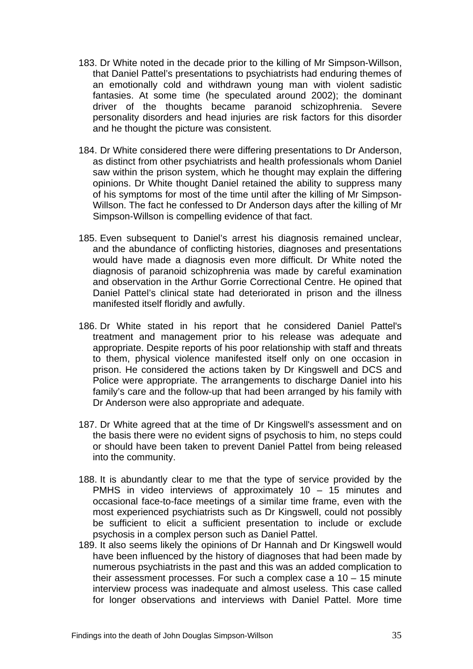- 183. Dr White noted in the decade prior to the killing of Mr Simpson-Willson, that Daniel Pattel's presentations to psychiatrists had enduring themes of an emotionally cold and withdrawn young man with violent sadistic fantasies. At some time (he speculated around 2002); the dominant driver of the thoughts became paranoid schizophrenia. Severe personality disorders and head injuries are risk factors for this disorder and he thought the picture was consistent.
- 184. Dr White considered there were differing presentations to Dr Anderson, as distinct from other psychiatrists and health professionals whom Daniel saw within the prison system, which he thought may explain the differing opinions. Dr White thought Daniel retained the ability to suppress many of his symptoms for most of the time until after the killing of Mr Simpson-Willson. The fact he confessed to Dr Anderson days after the killing of Mr Simpson-Willson is compelling evidence of that fact.
- 185. Even subsequent to Daniel's arrest his diagnosis remained unclear, and the abundance of conflicting histories, diagnoses and presentations would have made a diagnosis even more difficult. Dr White noted the diagnosis of paranoid schizophrenia was made by careful examination and observation in the Arthur Gorrie Correctional Centre. He opined that Daniel Pattel's clinical state had deteriorated in prison and the illness manifested itself floridly and awfully.
- 186. Dr White stated in his report that he considered Daniel Pattel's treatment and management prior to his release was adequate and appropriate. Despite reports of his poor relationship with staff and threats to them, physical violence manifested itself only on one occasion in prison. He considered the actions taken by Dr Kingswell and DCS and Police were appropriate. The arrangements to discharge Daniel into his family's care and the follow-up that had been arranged by his family with Dr Anderson were also appropriate and adequate.
- 187. Dr White agreed that at the time of Dr Kingswell's assessment and on the basis there were no evident signs of psychosis to him, no steps could or should have been taken to prevent Daniel Pattel from being released into the community.
- 188. It is abundantly clear to me that the type of service provided by the PMHS in video interviews of approximately 10 – 15 minutes and occasional face-to-face meetings of a similar time frame, even with the most experienced psychiatrists such as Dr Kingswell, could not possibly be sufficient to elicit a sufficient presentation to include or exclude psychosis in a complex person such as Daniel Pattel.
- 189. It also seems likely the opinions of Dr Hannah and Dr Kingswell would have been influenced by the history of diagnoses that had been made by numerous psychiatrists in the past and this was an added complication to their assessment processes. For such a complex case a  $10 - 15$  minute interview process was inadequate and almost useless. This case called for longer observations and interviews with Daniel Pattel. More time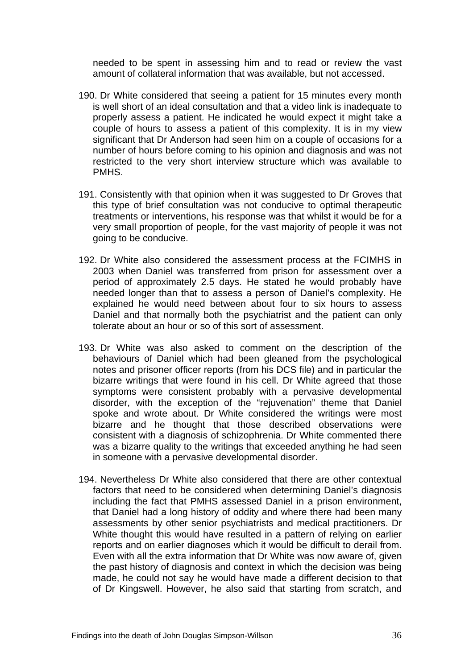needed to be spent in assessing him and to read or review the vast amount of collateral information that was available, but not accessed.

- 190. Dr White considered that seeing a patient for 15 minutes every month is well short of an ideal consultation and that a video link is inadequate to properly assess a patient. He indicated he would expect it might take a couple of hours to assess a patient of this complexity. It is in my view significant that Dr Anderson had seen him on a couple of occasions for a number of hours before coming to his opinion and diagnosis and was not restricted to the very short interview structure which was available to PMHS.
- 191. Consistently with that opinion when it was suggested to Dr Groves that this type of brief consultation was not conducive to optimal therapeutic treatments or interventions, his response was that whilst it would be for a very small proportion of people, for the vast majority of people it was not going to be conducive.
- 192. Dr White also considered the assessment process at the FCIMHS in 2003 when Daniel was transferred from prison for assessment over a period of approximately 2.5 days. He stated he would probably have needed longer than that to assess a person of Daniel's complexity. He explained he would need between about four to six hours to assess Daniel and that normally both the psychiatrist and the patient can only tolerate about an hour or so of this sort of assessment.
- 193. Dr White was also asked to comment on the description of the behaviours of Daniel which had been gleaned from the psychological notes and prisoner officer reports (from his DCS file) and in particular the bizarre writings that were found in his cell. Dr White agreed that those symptoms were consistent probably with a pervasive developmental disorder, with the exception of the "rejuvenation" theme that Daniel spoke and wrote about. Dr White considered the writings were most bizarre and he thought that those described observations were consistent with a diagnosis of schizophrenia. Dr White commented there was a bizarre quality to the writings that exceeded anything he had seen in someone with a pervasive developmental disorder.
- 194. Nevertheless Dr White also considered that there are other contextual factors that need to be considered when determining Daniel's diagnosis including the fact that PMHS assessed Daniel in a prison environment, that Daniel had a long history of oddity and where there had been many assessments by other senior psychiatrists and medical practitioners. Dr White thought this would have resulted in a pattern of relying on earlier reports and on earlier diagnoses which it would be difficult to derail from. Even with all the extra information that Dr White was now aware of, given the past history of diagnosis and context in which the decision was being made, he could not say he would have made a different decision to that of Dr Kingswell. However, he also said that starting from scratch, and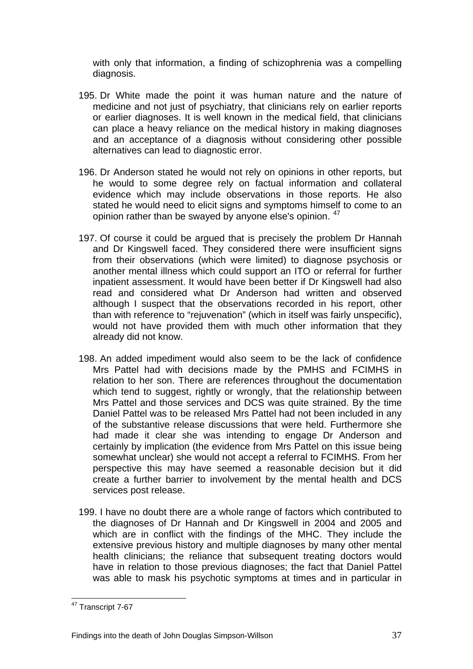with only that information, a finding of schizophrenia was a compelling diagnosis.

- 195. Dr White made the point it was human nature and the nature of medicine and not just of psychiatry, that clinicians rely on earlier reports or earlier diagnoses. It is well known in the medical field, that clinicians can place a heavy reliance on the medical history in making diagnoses and an acceptance of a diagnosis without considering other possible alternatives can lead to diagnostic error.
- 196. Dr Anderson stated he would not rely on opinions in other reports, but he would to some degree rely on factual information and collateral evidence which may include observations in those reports. He also stated he would need to elicit signs and symptoms himself to come to an opinion rather than be swayed by anyone else's opinion. <sup>[47](#page-39-0)</sup>
- 197. Of course it could be argued that is precisely the problem Dr Hannah and Dr Kingswell faced. They considered there were insufficient signs from their observations (which were limited) to diagnose psychosis or another mental illness which could support an ITO or referral for further inpatient assessment. It would have been better if Dr Kingswell had also read and considered what Dr Anderson had written and observed although I suspect that the observations recorded in his report, other than with reference to "rejuvenation" (which in itself was fairly unspecific), would not have provided them with much other information that they already did not know.
- 198. An added impediment would also seem to be the lack of confidence Mrs Pattel had with decisions made by the PMHS and FCIMHS in relation to her son. There are references throughout the documentation which tend to suggest, rightly or wrongly, that the relationship between Mrs Pattel and those services and DCS was quite strained. By the time Daniel Pattel was to be released Mrs Pattel had not been included in any of the substantive release discussions that were held. Furthermore she had made it clear she was intending to engage Dr Anderson and certainly by implication (the evidence from Mrs Pattel on this issue being somewhat unclear) she would not accept a referral to FCIMHS. From her perspective this may have seemed a reasonable decision but it did create a further barrier to involvement by the mental health and DCS services post release.
- 199. I have no doubt there are a whole range of factors which contributed to the diagnoses of Dr Hannah and Dr Kingswell in 2004 and 2005 and which are in conflict with the findings of the MHC. They include the extensive previous history and multiple diagnoses by many other mental health clinicians; the reliance that subsequent treating doctors would have in relation to those previous diagnoses; the fact that Daniel Pattel was able to mask his psychotic symptoms at times and in particular in

<span id="page-39-0"></span> $\overline{a}$ <sup>47</sup> Transcript 7-67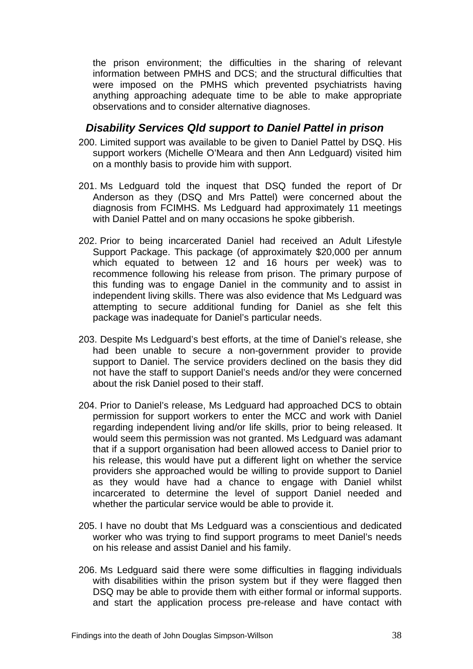<span id="page-40-0"></span>the prison environment; the difficulties in the sharing of relevant information between PMHS and DCS; and the structural difficulties that were imposed on the PMHS which prevented psychiatrists having anything approaching adequate time to be able to make appropriate observations and to consider alternative diagnoses.

# *Disability Services Qld support to Daniel Pattel in prison*

- 200. Limited support was available to be given to Daniel Pattel by DSQ. His support workers (Michelle O'Meara and then Ann Ledguard) visited him on a monthly basis to provide him with support.
- 201. Ms Ledguard told the inquest that DSQ funded the report of Dr Anderson as they (DSQ and Mrs Pattel) were concerned about the diagnosis from FCIMHS. Ms Ledguard had approximately 11 meetings with Daniel Pattel and on many occasions he spoke gibberish.
- 202. Prior to being incarcerated Daniel had received an Adult Lifestyle Support Package. This package (of approximately \$20,000 per annum which equated to between 12 and 16 hours per week) was to recommence following his release from prison. The primary purpose of this funding was to engage Daniel in the community and to assist in independent living skills. There was also evidence that Ms Ledguard was attempting to secure additional funding for Daniel as she felt this package was inadequate for Daniel's particular needs.
- 203. Despite Ms Ledguard's best efforts, at the time of Daniel's release, she had been unable to secure a non-government provider to provide support to Daniel. The service providers declined on the basis they did not have the staff to support Daniel's needs and/or they were concerned about the risk Daniel posed to their staff.
- 204. Prior to Daniel's release, Ms Ledguard had approached DCS to obtain permission for support workers to enter the MCC and work with Daniel regarding independent living and/or life skills, prior to being released. It would seem this permission was not granted. Ms Ledguard was adamant that if a support organisation had been allowed access to Daniel prior to his release, this would have put a different light on whether the service providers she approached would be willing to provide support to Daniel as they would have had a chance to engage with Daniel whilst incarcerated to determine the level of support Daniel needed and whether the particular service would be able to provide it.
- 205. I have no doubt that Ms Ledguard was a conscientious and dedicated worker who was trying to find support programs to meet Daniel's needs on his release and assist Daniel and his family.
- 206. Ms Ledguard said there were some difficulties in flagging individuals with disabilities within the prison system but if they were flagged then DSQ may be able to provide them with either formal or informal supports. and start the application process pre-release and have contact with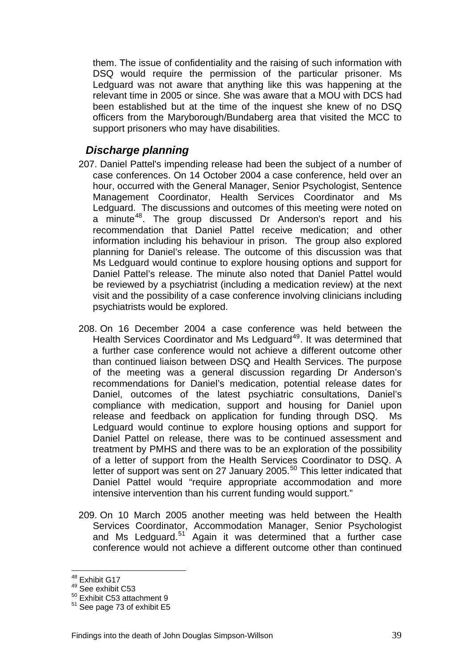<span id="page-41-0"></span>them. The issue of confidentiality and the raising of such information with DSQ would require the permission of the particular prisoner. Ms Ledguard was not aware that anything like this was happening at the relevant time in 2005 or since. She was aware that a MOU with DCS had been established but at the time of the inquest she knew of no DSQ officers from the Maryborough/Bundaberg area that visited the MCC to support prisoners who may have disabilities.

# *Discharge planning*

- 207. Daniel Pattel's impending release had been the subject of a number of case conferences. On 14 October 2004 a case conference, held over an hour, occurred with the General Manager, Senior Psychologist, Sentence Management Coordinator, Health Services Coordinator and Ms Ledguard. The discussions and outcomes of this meeting were noted on a minute<sup>[48](#page-41-1)</sup>. The group discussed Dr Anderson's report and his recommendation that Daniel Pattel receive medication; and other information including his behaviour in prison. The group also explored planning for Daniel's release. The outcome of this discussion was that Ms Ledguard would continue to explore housing options and support for Daniel Pattel's release. The minute also noted that Daniel Pattel would be reviewed by a psychiatrist (including a medication review) at the next visit and the possibility of a case conference involving clinicians including psychiatrists would be explored.
- 208. On 16 December 2004 a case conference was held between the Health Services Coordinator and Ms Ledguard<sup>[49](#page-41-2)</sup>. It was determined that a further case conference would not achieve a different outcome other than continued liaison between DSQ and Health Services. The purpose of the meeting was a general discussion regarding Dr Anderson's recommendations for Daniel's medication, potential release dates for Daniel, outcomes of the latest psychiatric consultations, Daniel's compliance with medication, support and housing for Daniel upon release and feedback on application for funding through DSQ. Ms Ledguard would continue to explore housing options and support for Daniel Pattel on release, there was to be continued assessment and treatment by PMHS and there was to be an exploration of the possibility of a letter of support from the Health Services Coordinator to DSQ. A letter of support was sent on 27 January 2005.<sup>[50](#page-41-3)</sup> This letter indicated that Daniel Pattel would "require appropriate accommodation and more intensive intervention than his current funding would support."
- 209. On 10 March 2005 another meeting was held between the Health Services Coordinator, Accommodation Manager, Senior Psychologist and Ms Ledguard.<sup>[51](#page-41-4)</sup> Again it was determined that a further case conference would not achieve a different outcome other than continued

 $\overline{a}$ 

<sup>&</sup>lt;sup>48</sup> Exhibit G17

<span id="page-41-2"></span><span id="page-41-1"></span><sup>&</sup>lt;sup>49</sup> See exhibit C53

<span id="page-41-3"></span><sup>50</sup> Exhibit C53 attachment 9

<span id="page-41-4"></span><sup>51</sup> See page 73 of exhibit E5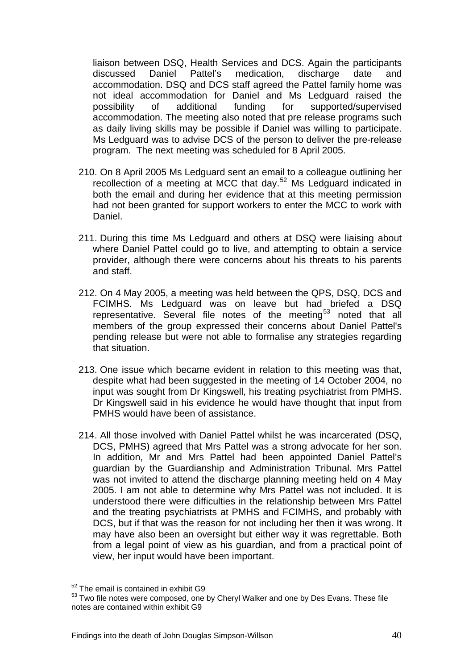liaison between DSQ, Health Services and DCS. Again the participants discussed Daniel Pattel's medication, discharge date and accommodation. DSQ and DCS staff agreed the Pattel family home was not ideal accommodation for Daniel and Ms Ledguard raised the possibility of additional funding for supported/supervised accommodation. The meeting also noted that pre release programs such as daily living skills may be possible if Daniel was willing to participate. Ms Ledguard was to advise DCS of the person to deliver the pre-release program. The next meeting was scheduled for 8 April 2005.

- 210. On 8 April 2005 Ms Ledguard sent an email to a colleague outlining her recollection of a meeting at MCC that day.[52](#page-42-0) Ms Ledguard indicated in both the email and during her evidence that at this meeting permission had not been granted for support workers to enter the MCC to work with Daniel.
- 211. During this time Ms Ledguard and others at DSQ were liaising about where Daniel Pattel could go to live, and attempting to obtain a service provider, although there were concerns about his threats to his parents and staff.
- 212. On 4 May 2005, a meeting was held between the QPS, DSQ, DCS and FCIMHS. Ms Ledguard was on leave but had briefed a DSQ representative. Several file notes of the meeting<sup>[53](#page-42-1)</sup> noted that all members of the group expressed their concerns about Daniel Pattel's pending release but were not able to formalise any strategies regarding that situation.
- 213. One issue which became evident in relation to this meeting was that, despite what had been suggested in the meeting of 14 October 2004, no input was sought from Dr Kingswell, his treating psychiatrist from PMHS. Dr Kingswell said in his evidence he would have thought that input from PMHS would have been of assistance.
- 214. All those involved with Daniel Pattel whilst he was incarcerated (DSQ, DCS, PMHS) agreed that Mrs Pattel was a strong advocate for her son. In addition, Mr and Mrs Pattel had been appointed Daniel Pattel's guardian by the Guardianship and Administration Tribunal. Mrs Pattel was not invited to attend the discharge planning meeting held on 4 May 2005. I am not able to determine why Mrs Pattel was not included. It is understood there were difficulties in the relationship between Mrs Pattel and the treating psychiatrists at PMHS and FCIMHS, and probably with DCS, but if that was the reason for not including her then it was wrong. It may have also been an oversight but either way it was regrettable. Both from a legal point of view as his guardian, and from a practical point of view, her input would have been important.

 $\overline{a}$ 

<sup>&</sup>lt;sup>52</sup> The email is contained in exhibit G9

<span id="page-42-1"></span><span id="page-42-0"></span><sup>&</sup>lt;sup>53</sup> Two file notes were composed, one by Cheryl Walker and one by Des Evans. These file notes are contained within exhibit G9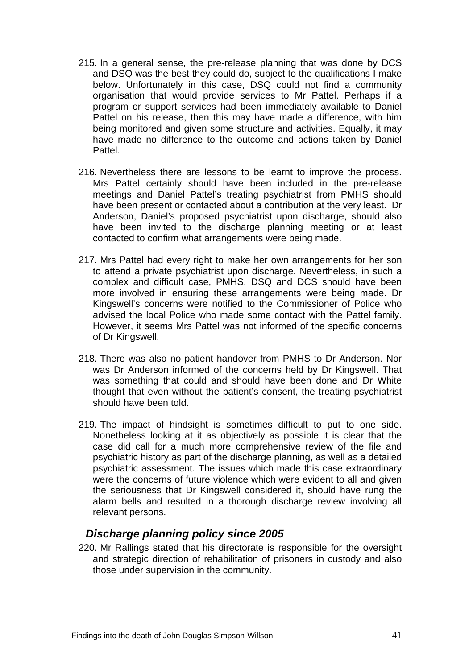- <span id="page-43-0"></span>215. In a general sense, the pre-release planning that was done by DCS and DSQ was the best they could do, subject to the qualifications I make below. Unfortunately in this case, DSQ could not find a community organisation that would provide services to Mr Pattel. Perhaps if a program or support services had been immediately available to Daniel Pattel on his release, then this may have made a difference, with him being monitored and given some structure and activities. Equally, it may have made no difference to the outcome and actions taken by Daniel Pattel.
- 216. Nevertheless there are lessons to be learnt to improve the process. Mrs Pattel certainly should have been included in the pre-release meetings and Daniel Pattel's treating psychiatrist from PMHS should have been present or contacted about a contribution at the very least. Dr Anderson, Daniel's proposed psychiatrist upon discharge, should also have been invited to the discharge planning meeting or at least contacted to confirm what arrangements were being made.
- 217. Mrs Pattel had every right to make her own arrangements for her son to attend a private psychiatrist upon discharge. Nevertheless, in such a complex and difficult case, PMHS, DSQ and DCS should have been more involved in ensuring these arrangements were being made. Dr Kingswell's concerns were notified to the Commissioner of Police who advised the local Police who made some contact with the Pattel family. However, it seems Mrs Pattel was not informed of the specific concerns of Dr Kingswell.
- 218. There was also no patient handover from PMHS to Dr Anderson. Nor was Dr Anderson informed of the concerns held by Dr Kingswell. That was something that could and should have been done and Dr White thought that even without the patient's consent, the treating psychiatrist should have been told.
- 219. The impact of hindsight is sometimes difficult to put to one side. Nonetheless looking at it as objectively as possible it is clear that the case did call for a much more comprehensive review of the file and psychiatric history as part of the discharge planning, as well as a detailed psychiatric assessment. The issues which made this case extraordinary were the concerns of future violence which were evident to all and given the seriousness that Dr Kingswell considered it, should have rung the alarm bells and resulted in a thorough discharge review involving all relevant persons.

### *Discharge planning policy since 2005*

220. Mr Rallings stated that his directorate is responsible for the oversight and strategic direction of rehabilitation of prisoners in custody and also those under supervision in the community.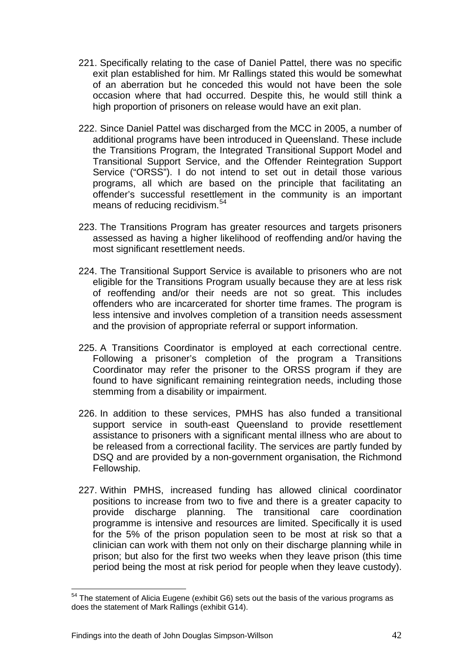- 221. Specifically relating to the case of Daniel Pattel, there was no specific exit plan established for him. Mr Rallings stated this would be somewhat of an aberration but he conceded this would not have been the sole occasion where that had occurred. Despite this, he would still think a high proportion of prisoners on release would have an exit plan.
- 222. Since Daniel Pattel was discharged from the MCC in 2005, a number of additional programs have been introduced in Queensland. These include the Transitions Program, the Integrated Transitional Support Model and Transitional Support Service, and the Offender Reintegration Support Service ("ORSS"). I do not intend to set out in detail those various programs, all which are based on the principle that facilitating an offender's successful resettlement in the community is an important means of reducing recidivism.<sup>[54](#page-44-0)</sup>
- 223. The Transitions Program has greater resources and targets prisoners assessed as having a higher likelihood of reoffending and/or having the most significant resettlement needs.
- 224. The Transitional Support Service is available to prisoners who are not eligible for the Transitions Program usually because they are at less risk of reoffending and/or their needs are not so great. This includes offenders who are incarcerated for shorter time frames. The program is less intensive and involves completion of a transition needs assessment and the provision of appropriate referral or support information.
- 225. A Transitions Coordinator is employed at each correctional centre. Following a prisoner's completion of the program a Transitions Coordinator may refer the prisoner to the ORSS program if they are found to have significant remaining reintegration needs, including those stemming from a disability or impairment.
- 226. In addition to these services, PMHS has also funded a transitional support service in south-east Queensland to provide resettlement assistance to prisoners with a significant mental illness who are about to be released from a correctional facility. The services are partly funded by DSQ and are provided by a non-government organisation, the Richmond Fellowship.
- 227. Within PMHS, increased funding has allowed clinical coordinator positions to increase from two to five and there is a greater capacity to provide discharge planning. The transitional care coordination programme is intensive and resources are limited. Specifically it is used for the 5% of the prison population seen to be most at risk so that a clinician can work with them not only on their discharge planning while in prison; but also for the first two weeks when they leave prison (this time period being the most at risk period for people when they leave custody).

<span id="page-44-0"></span> $\overline{a}$  $54$  The statement of Alicia Eugene (exhibit G6) sets out the basis of the various programs as does the statement of Mark Rallings (exhibit G14).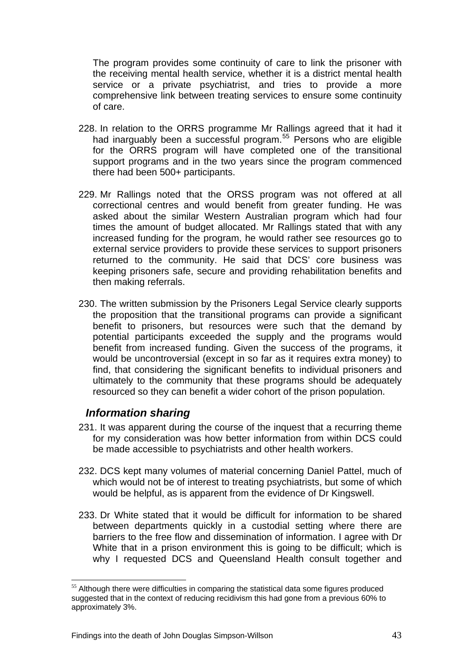<span id="page-45-0"></span>The program provides some continuity of care to link the prisoner with the receiving mental health service, whether it is a district mental health service or a private psychiatrist, and tries to provide a more comprehensive link between treating services to ensure some continuity of care.

- 228. In relation to the ORRS programme Mr Rallings agreed that it had it had inarguably been a successful program.<sup>[55](#page-45-1)</sup> Persons who are eligible for the ORRS program will have completed one of the transitional support programs and in the two vears since the program commenced there had been 500+ participants.
- 229. Mr Rallings noted that the ORSS program was not offered at all correctional centres and would benefit from greater funding. He was asked about the similar Western Australian program which had four times the amount of budget allocated. Mr Rallings stated that with any increased funding for the program, he would rather see resources go to external service providers to provide these services to support prisoners returned to the community. He said that DCS' core business was keeping prisoners safe, secure and providing rehabilitation benefits and then making referrals.
- 230. The written submission by the Prisoners Legal Service clearly supports the proposition that the transitional programs can provide a significant benefit to prisoners, but resources were such that the demand by potential participants exceeded the supply and the programs would benefit from increased funding. Given the success of the programs, it would be uncontroversial (except in so far as it requires extra money) to find, that considering the significant benefits to individual prisoners and ultimately to the community that these programs should be adequately resourced so they can benefit a wider cohort of the prison population.

### *Information sharing*

 $\overline{a}$ 

- 231. It was apparent during the course of the inquest that a recurring theme for my consideration was how better information from within DCS could be made accessible to psychiatrists and other health workers.
- 232. DCS kept many volumes of material concerning Daniel Pattel, much of which would not be of interest to treating psychiatrists, but some of which would be helpful, as is apparent from the evidence of Dr Kingswell.
- 233. Dr White stated that it would be difficult for information to be shared between departments quickly in a custodial setting where there are barriers to the free flow and dissemination of information. I agree with Dr White that in a prison environment this is going to be difficult; which is why I requested DCS and Queensland Health consult together and

<span id="page-45-1"></span> $55$  Although there were difficulties in comparing the statistical data some figures produced suggested that in the context of reducing recidivism this had gone from a previous 60% to approximately 3%.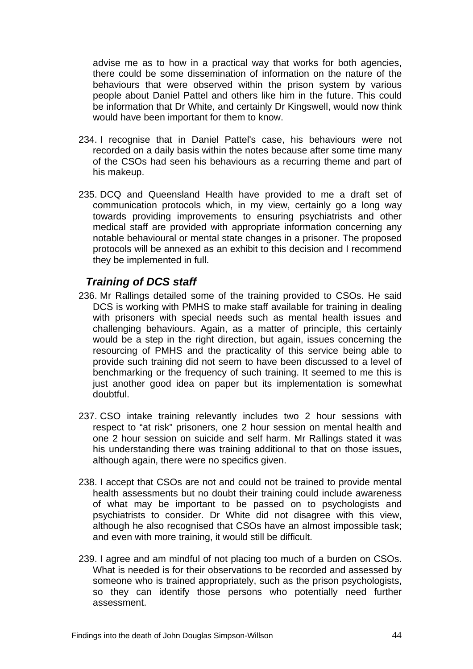<span id="page-46-0"></span>advise me as to how in a practical way that works for both agencies, there could be some dissemination of information on the nature of the behaviours that were observed within the prison system by various people about Daniel Pattel and others like him in the future. This could be information that Dr White, and certainly Dr Kingswell, would now think would have been important for them to know.

- 234. I recognise that in Daniel Pattel's case, his behaviours were not recorded on a daily basis within the notes because after some time many of the CSOs had seen his behaviours as a recurring theme and part of his makeup.
- 235. DCQ and Queensland Health have provided to me a draft set of communication protocols which, in my view, certainly go a long way towards providing improvements to ensuring psychiatrists and other medical staff are provided with appropriate information concerning any notable behavioural or mental state changes in a prisoner. The proposed protocols will be annexed as an exhibit to this decision and I recommend they be implemented in full.

#### *Training of DCS staff*

- 236. Mr Rallings detailed some of the training provided to CSOs. He said DCS is working with PMHS to make staff available for training in dealing with prisoners with special needs such as mental health issues and challenging behaviours. Again, as a matter of principle, this certainly would be a step in the right direction, but again, issues concerning the resourcing of PMHS and the practicality of this service being able to provide such training did not seem to have been discussed to a level of benchmarking or the frequency of such training. It seemed to me this is just another good idea on paper but its implementation is somewhat doubtful.
- 237. CSO intake training relevantly includes two 2 hour sessions with respect to "at risk" prisoners, one 2 hour session on mental health and one 2 hour session on suicide and self harm. Mr Rallings stated it was his understanding there was training additional to that on those issues, although again, there were no specifics given.
- 238. I accept that CSOs are not and could not be trained to provide mental health assessments but no doubt their training could include awareness of what may be important to be passed on to psychologists and psychiatrists to consider. Dr White did not disagree with this view, although he also recognised that CSOs have an almost impossible task; and even with more training, it would still be difficult.
- 239. I agree and am mindful of not placing too much of a burden on CSOs. What is needed is for their observations to be recorded and assessed by someone who is trained appropriately, such as the prison psychologists, so they can identify those persons who potentially need further assessment.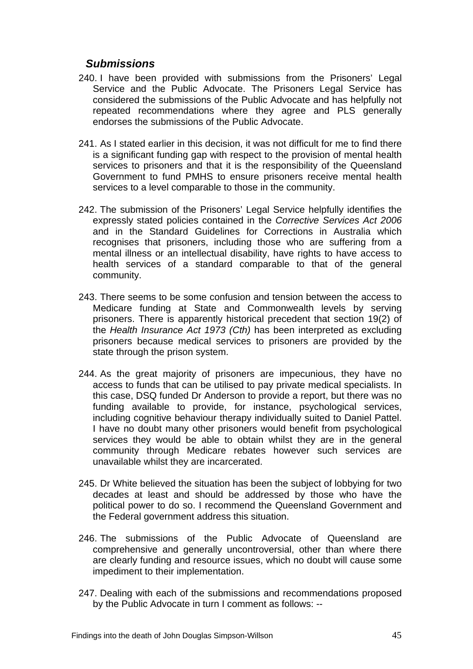# <span id="page-47-0"></span>*Submissions*

- 240. I have been provided with submissions from the Prisoners' Legal Service and the Public Advocate. The Prisoners Legal Service has considered the submissions of the Public Advocate and has helpfully not repeated recommendations where they agree and PLS generally endorses the submissions of the Public Advocate.
- 241. As I stated earlier in this decision, it was not difficult for me to find there is a significant funding gap with respect to the provision of mental health services to prisoners and that it is the responsibility of the Queensland Government to fund PMHS to ensure prisoners receive mental health services to a level comparable to those in the community.
- 242. The submission of the Prisoners' Legal Service helpfully identifies the expressly stated policies contained in the *Corrective Services Act 2006* and in the Standard Guidelines for Corrections in Australia which recognises that prisoners, including those who are suffering from a mental illness or an intellectual disability, have rights to have access to health services of a standard comparable to that of the general community.
- 243. There seems to be some confusion and tension between the access to Medicare funding at State and Commonwealth levels by serving prisoners. There is apparently historical precedent that section 19(2) of the *Health Insurance Act 1973 (Cth)* has been interpreted as excluding prisoners because medical services to prisoners are provided by the state through the prison system.
- 244. As the great majority of prisoners are impecunious, they have no access to funds that can be utilised to pay private medical specialists. In this case, DSQ funded Dr Anderson to provide a report, but there was no funding available to provide, for instance, psychological services, including cognitive behaviour therapy individually suited to Daniel Pattel. I have no doubt many other prisoners would benefit from psychological services they would be able to obtain whilst they are in the general community through Medicare rebates however such services are unavailable whilst they are incarcerated.
- 245. Dr White believed the situation has been the subject of lobbying for two decades at least and should be addressed by those who have the political power to do so. I recommend the Queensland Government and the Federal government address this situation.
- 246. The submissions of the Public Advocate of Queensland are comprehensive and generally uncontroversial, other than where there are clearly funding and resource issues, which no doubt will cause some impediment to their implementation.
- 247. Dealing with each of the submissions and recommendations proposed by the Public Advocate in turn I comment as follows: --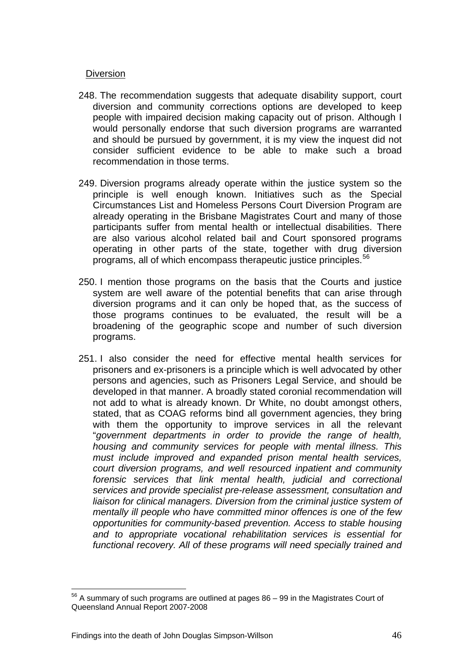#### **Diversion**

- 248. The recommendation suggests that adequate disability support, court diversion and community corrections options are developed to keep people with impaired decision making capacity out of prison. Although I would personally endorse that such diversion programs are warranted and should be pursued by government, it is my view the inquest did not consider sufficient evidence to be able to make such a broad recommendation in those terms.
- 249. Diversion programs already operate within the justice system so the principle is well enough known. Initiatives such as the Special Circumstances List and Homeless Persons Court Diversion Program are already operating in the Brisbane Magistrates Court and many of those participants suffer from mental health or intellectual disabilities. There are also various alcohol related bail and Court sponsored programs operating in other parts of the state, together with drug diversion programs, all of which encompass therapeutic justice principles.[56](#page-48-0)
- 250. I mention those programs on the basis that the Courts and justice system are well aware of the potential benefits that can arise through diversion programs and it can only be hoped that, as the success of those programs continues to be evaluated, the result will be a broadening of the geographic scope and number of such diversion programs.
- 251. I also consider the need for effective mental health services for prisoners and ex-prisoners is a principle which is well advocated by other persons and agencies, such as Prisoners Legal Service, and should be developed in that manner. A broadly stated coronial recommendation will not add to what is already known. Dr White, no doubt amongst others, stated, that as COAG reforms bind all government agencies, they bring with them the opportunity to improve services in all the relevant "*government departments in order to provide the range of health, housing and community services for people with mental illness. This must include improved and expanded prison mental health services, court diversion programs, and well resourced inpatient and community forensic services that link mental health, judicial and correctional services and provide specialist pre-release assessment, consultation and liaison for clinical managers. Diversion from the criminal justice system of mentally ill people who have committed minor offences is one of the few opportunities for community-based prevention. Access to stable housing and to appropriate vocational rehabilitation services is essential for functional recovery. All of these programs will need specially trained and*

<span id="page-48-0"></span> $\overline{a}$  $56$  A summary of such programs are outlined at pages  $86 - 99$  in the Magistrates Court of Queensland Annual Report 2007-2008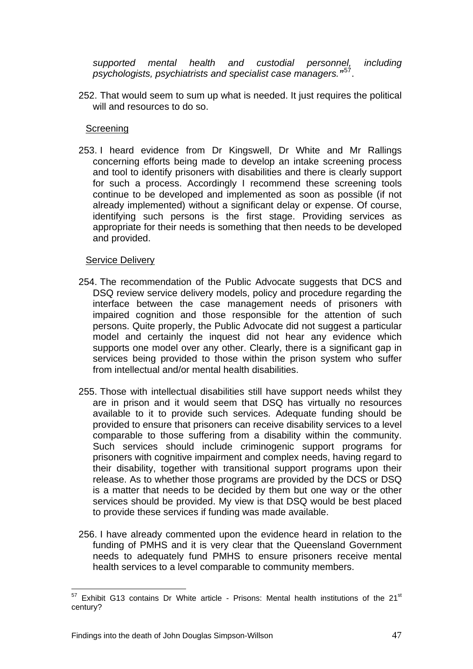*supported mental health and custodial personnel, including psychologists, psychiatrists and specialist case managers."*[57](#page-49-0).

252. That would seem to sum up what is needed. It just requires the political will and resources to do so.

#### **Screening**

253. I heard evidence from Dr Kingswell, Dr White and Mr Rallings concerning efforts being made to develop an intake screening process and tool to identify prisoners with disabilities and there is clearly support for such a process. Accordingly I recommend these screening tools continue to be developed and implemented as soon as possible (if not already implemented) without a significant delay or expense. Of course, identifying such persons is the first stage. Providing services as appropriate for their needs is something that then needs to be developed and provided.

#### Service Delivery

- 254. The recommendation of the Public Advocate suggests that DCS and DSQ review service delivery models, policy and procedure regarding the interface between the case management needs of prisoners with impaired cognition and those responsible for the attention of such persons. Quite properly, the Public Advocate did not suggest a particular model and certainly the inquest did not hear any evidence which supports one model over any other. Clearly, there is a significant gap in services being provided to those within the prison system who suffer from intellectual and/or mental health disabilities.
- 255. Those with intellectual disabilities still have support needs whilst they are in prison and it would seem that DSQ has virtually no resources available to it to provide such services. Adequate funding should be provided to ensure that prisoners can receive disability services to a level comparable to those suffering from a disability within the community. Such services should include criminogenic support programs for prisoners with cognitive impairment and complex needs, having regard to their disability, together with transitional support programs upon their release. As to whether those programs are provided by the DCS or DSQ is a matter that needs to be decided by them but one way or the other services should be provided. My view is that DSQ would be best placed to provide these services if funding was made available.
- 256. I have already commented upon the evidence heard in relation to the funding of PMHS and it is very clear that the Queensland Government needs to adequately fund PMHS to ensure prisoners receive mental health services to a level comparable to community members.

<span id="page-49-0"></span> $\overline{a}$  $57$  Exhibit G13 contains Dr White article - Prisons: Mental health institutions of the 21 $\mathrm{^{st}}$ century?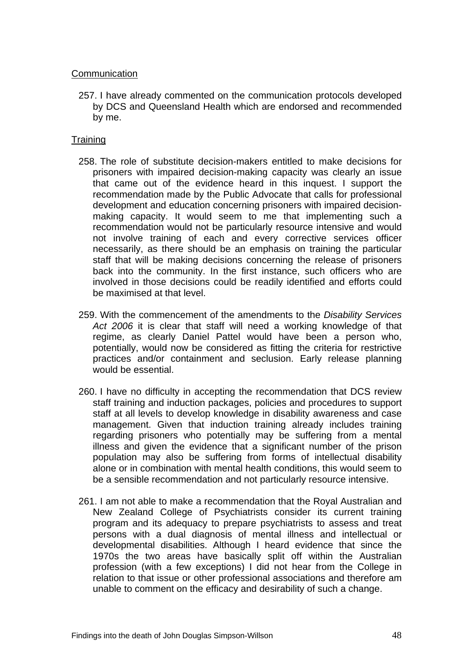#### **Communication**

257. I have already commented on the communication protocols developed by DCS and Queensland Health which are endorsed and recommended by me.

#### **Training**

- 258. The role of substitute decision-makers entitled to make decisions for prisoners with impaired decision-making capacity was clearly an issue that came out of the evidence heard in this inquest. I support the recommendation made by the Public Advocate that calls for professional development and education concerning prisoners with impaired decisionmaking capacity. It would seem to me that implementing such a recommendation would not be particularly resource intensive and would not involve training of each and every corrective services officer necessarily, as there should be an emphasis on training the particular staff that will be making decisions concerning the release of prisoners back into the community. In the first instance, such officers who are involved in those decisions could be readily identified and efforts could be maximised at that level.
- 259. With the commencement of the amendments to the *Disability Services Act 2006* it is clear that staff will need a working knowledge of that regime, as clearly Daniel Pattel would have been a person who, potentially, would now be considered as fitting the criteria for restrictive practices and/or containment and seclusion. Early release planning would be essential.
- 260. I have no difficulty in accepting the recommendation that DCS review staff training and induction packages, policies and procedures to support staff at all levels to develop knowledge in disability awareness and case management. Given that induction training already includes training regarding prisoners who potentially may be suffering from a mental illness and given the evidence that a significant number of the prison population may also be suffering from forms of intellectual disability alone or in combination with mental health conditions, this would seem to be a sensible recommendation and not particularly resource intensive.
- 261. I am not able to make a recommendation that the Royal Australian and New Zealand College of Psychiatrists consider its current training program and its adequacy to prepare psychiatrists to assess and treat persons with a dual diagnosis of mental illness and intellectual or developmental disabilities. Although I heard evidence that since the 1970s the two areas have basically split off within the Australian profession (with a few exceptions) I did not hear from the College in relation to that issue or other professional associations and therefore am unable to comment on the efficacy and desirability of such a change.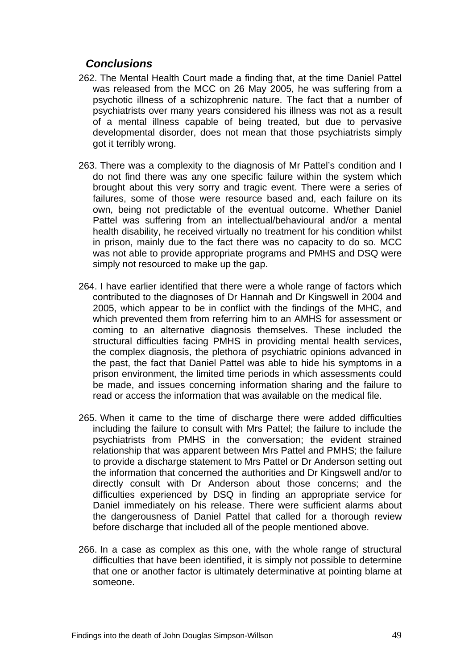# <span id="page-51-0"></span>*Conclusions*

- 262. The Mental Health Court made a finding that, at the time Daniel Pattel was released from the MCC on 26 May 2005, he was suffering from a psychotic illness of a schizophrenic nature. The fact that a number of psychiatrists over many years considered his illness was not as a result of a mental illness capable of being treated, but due to pervasive developmental disorder, does not mean that those psychiatrists simply got it terribly wrong.
- 263. There was a complexity to the diagnosis of Mr Pattel's condition and I do not find there was any one specific failure within the system which brought about this very sorry and tragic event. There were a series of failures, some of those were resource based and, each failure on its own, being not predictable of the eventual outcome. Whether Daniel Pattel was suffering from an intellectual/behavioural and/or a mental health disability, he received virtually no treatment for his condition whilst in prison, mainly due to the fact there was no capacity to do so. MCC was not able to provide appropriate programs and PMHS and DSQ were simply not resourced to make up the gap.
- 264. I have earlier identified that there were a whole range of factors which contributed to the diagnoses of Dr Hannah and Dr Kingswell in 2004 and 2005, which appear to be in conflict with the findings of the MHC, and which prevented them from referring him to an AMHS for assessment or coming to an alternative diagnosis themselves. These included the structural difficulties facing PMHS in providing mental health services, the complex diagnosis, the plethora of psychiatric opinions advanced in the past, the fact that Daniel Pattel was able to hide his symptoms in a prison environment, the limited time periods in which assessments could be made, and issues concerning information sharing and the failure to read or access the information that was available on the medical file.
- 265. When it came to the time of discharge there were added difficulties including the failure to consult with Mrs Pattel; the failure to include the psychiatrists from PMHS in the conversation; the evident strained relationship that was apparent between Mrs Pattel and PMHS; the failure to provide a discharge statement to Mrs Pattel or Dr Anderson setting out the information that concerned the authorities and Dr Kingswell and/or to directly consult with Dr Anderson about those concerns; and the difficulties experienced by DSQ in finding an appropriate service for Daniel immediately on his release. There were sufficient alarms about the dangerousness of Daniel Pattel that called for a thorough review before discharge that included all of the people mentioned above.
- 266. In a case as complex as this one, with the whole range of structural difficulties that have been identified, it is simply not possible to determine that one or another factor is ultimately determinative at pointing blame at someone.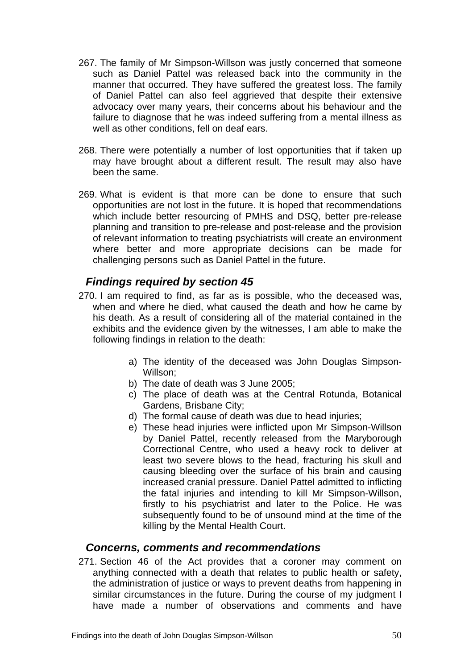- <span id="page-52-0"></span>267. The family of Mr Simpson-Willson was justly concerned that someone such as Daniel Pattel was released back into the community in the manner that occurred. They have suffered the greatest loss. The family of Daniel Pattel can also feel aggrieved that despite their extensive advocacy over many years, their concerns about his behaviour and the failure to diagnose that he was indeed suffering from a mental illness as well as other conditions, fell on deaf ears.
- 268. There were potentially a number of lost opportunities that if taken up may have brought about a different result. The result may also have been the same.
- 269. What is evident is that more can be done to ensure that such opportunities are not lost in the future. It is hoped that recommendations which include better resourcing of PMHS and DSQ, better pre-release planning and transition to pre-release and post-release and the provision of relevant information to treating psychiatrists will create an environment where better and more appropriate decisions can be made for challenging persons such as Daniel Pattel in the future.

# *Findings required by section 45*

- 270. I am required to find, as far as is possible, who the deceased was, when and where he died, what caused the death and how he came by his death. As a result of considering all of the material contained in the exhibits and the evidence given by the witnesses, I am able to make the following findings in relation to the death:
	- a) The identity of the deceased was John Douglas Simpson-Willson;
	- b) The date of death was 3 June 2005;
	- c) The place of death was at the Central Rotunda, Botanical Gardens, Brisbane City;
	- d) The formal cause of death was due to head injuries;
	- e) These head injuries were inflicted upon Mr Simpson-Willson by Daniel Pattel, recently released from the Maryborough Correctional Centre, who used a heavy rock to deliver at least two severe blows to the head, fracturing his skull and causing bleeding over the surface of his brain and causing increased cranial pressure. Daniel Pattel admitted to inflicting the fatal injuries and intending to kill Mr Simpson-Willson, firstly to his psychiatrist and later to the Police. He was subsequently found to be of unsound mind at the time of the killing by the Mental Health Court.

#### *Concerns, comments and recommendations*

271. Section 46 of the Act provides that a coroner may comment on anything connected with a death that relates to public health or safety, the administration of justice or ways to prevent deaths from happening in similar circumstances in the future. During the course of my judgment I have made a number of observations and comments and have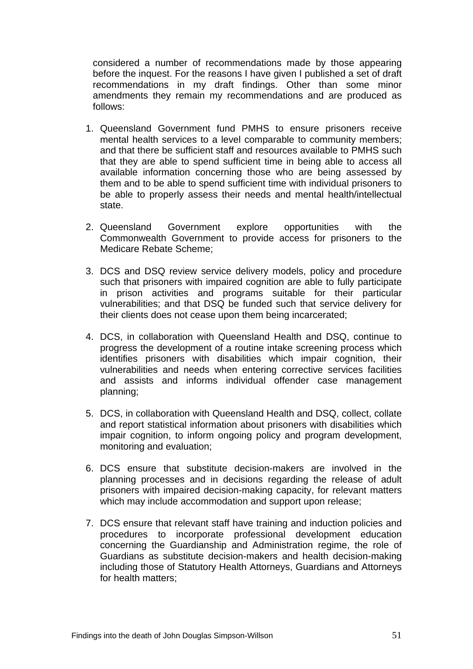considered a number of recommendations made by those appearing before the inquest. For the reasons I have given I published a set of draft recommendations in my draft findings. Other than some minor amendments they remain my recommendations and are produced as follows:

- 1. Queensland Government fund PMHS to ensure prisoners receive mental health services to a level comparable to community members; and that there be sufficient staff and resources available to PMHS such that they are able to spend sufficient time in being able to access all available information concerning those who are being assessed by them and to be able to spend sufficient time with individual prisoners to be able to properly assess their needs and mental health/intellectual state.
- 2. Queensland Government explore opportunities with the Commonwealth Government to provide access for prisoners to the Medicare Rebate Scheme;
- 3. DCS and DSQ review service delivery models, policy and procedure such that prisoners with impaired cognition are able to fully participate in prison activities and programs suitable for their particular vulnerabilities; and that DSQ be funded such that service delivery for their clients does not cease upon them being incarcerated;
- 4. DCS, in collaboration with Queensland Health and DSQ, continue to progress the development of a routine intake screening process which identifies prisoners with disabilities which impair cognition, their vulnerabilities and needs when entering corrective services facilities and assists and informs individual offender case management planning;
- 5. DCS, in collaboration with Queensland Health and DSQ, collect, collate and report statistical information about prisoners with disabilities which impair cognition, to inform ongoing policy and program development, monitoring and evaluation;
- 6. DCS ensure that substitute decision-makers are involved in the planning processes and in decisions regarding the release of adult prisoners with impaired decision-making capacity, for relevant matters which may include accommodation and support upon release;
- 7. DCS ensure that relevant staff have training and induction policies and procedures to incorporate professional development education concerning the Guardianship and Administration regime, the role of Guardians as substitute decision-makers and health decision-making including those of Statutory Health Attorneys, Guardians and Attorneys for health matters;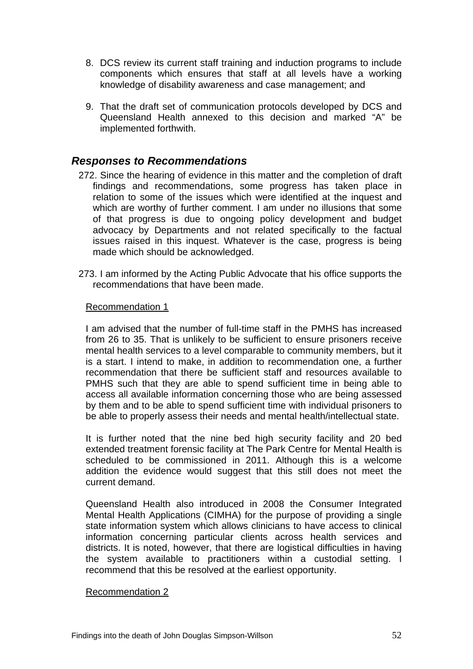- <span id="page-54-0"></span>8. DCS review its current staff training and induction programs to include components which ensures that staff at all levels have a working knowledge of disability awareness and case management; and
- 9. That the draft set of communication protocols developed by DCS and Queensland Health annexed to this decision and marked "A" be implemented forthwith.

### *Responses to Recommendations*

- 272. Since the hearing of evidence in this matter and the completion of draft findings and recommendations, some progress has taken place in relation to some of the issues which were identified at the inquest and which are worthy of further comment. I am under no illusions that some of that progress is due to ongoing policy development and budget advocacy by Departments and not related specifically to the factual issues raised in this inquest. Whatever is the case, progress is being made which should be acknowledged.
- 273. I am informed by the Acting Public Advocate that his office supports the recommendations that have been made.

#### Recommendation 1

I am advised that the number of full-time staff in the PMHS has increased from 26 to 35. That is unlikely to be sufficient to ensure prisoners receive mental health services to a level comparable to community members, but it is a start. I intend to make, in addition to recommendation one, a further recommendation that there be sufficient staff and resources available to PMHS such that they are able to spend sufficient time in being able to access all available information concerning those who are being assessed by them and to be able to spend sufficient time with individual prisoners to be able to properly assess their needs and mental health/intellectual state.

It is further noted that the nine bed high security facility and 20 bed extended treatment forensic facility at The Park Centre for Mental Health is scheduled to be commissioned in 2011. Although this is a welcome addition the evidence would suggest that this still does not meet the current demand.

Queensland Health also introduced in 2008 the Consumer Integrated Mental Health Applications (CIMHA) for the purpose of providing a single state information system which allows clinicians to have access to clinical information concerning particular clients across health services and districts. It is noted, however, that there are logistical difficulties in having the system available to practitioners within a custodial setting. I recommend that this be resolved at the earliest opportunity.

#### Recommendation 2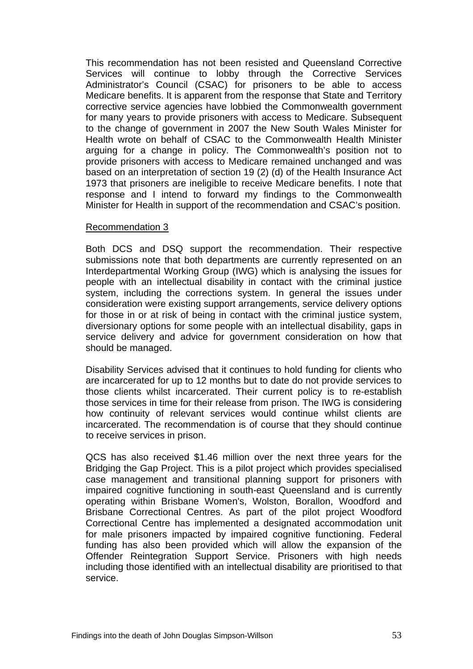This recommendation has not been resisted and Queensland Corrective Services will continue to lobby through the Corrective Services Administrator's Council (CSAC) for prisoners to be able to access Medicare benefits. It is apparent from the response that State and Territory corrective service agencies have lobbied the Commonwealth government for many years to provide prisoners with access to Medicare. Subsequent to the change of government in 2007 the New South Wales Minister for Health wrote on behalf of CSAC to the Commonwealth Health Minister arguing for a change in policy. The Commonwealth's position not to provide prisoners with access to Medicare remained unchanged and was based on an interpretation of section 19 (2) (d) of the Health Insurance Act 1973 that prisoners are ineligible to receive Medicare benefits. I note that response and I intend to forward my findings to the Commonwealth Minister for Health in support of the recommendation and CSAC's position.

#### Recommendation 3

Both DCS and DSQ support the recommendation. Their respective submissions note that both departments are currently represented on an Interdepartmental Working Group (IWG) which is analysing the issues for people with an intellectual disability in contact with the criminal justice system, including the corrections system. In general the issues under consideration were existing support arrangements, service delivery options for those in or at risk of being in contact with the criminal justice system, diversionary options for some people with an intellectual disability, gaps in service delivery and advice for government consideration on how that should be managed.

Disability Services advised that it continues to hold funding for clients who are incarcerated for up to 12 months but to date do not provide services to those clients whilst incarcerated. Their current policy is to re-establish those services in time for their release from prison. The IWG is considering how continuity of relevant services would continue whilst clients are incarcerated. The recommendation is of course that they should continue to receive services in prison.

QCS has also received \$1.46 million over the next three years for the Bridging the Gap Project. This is a pilot project which provides specialised case management and transitional planning support for prisoners with impaired cognitive functioning in south-east Queensland and is currently operating within Brisbane Women's, Wolston, Borallon, Woodford and Brisbane Correctional Centres. As part of the pilot project Woodford Correctional Centre has implemented a designated accommodation unit for male prisoners impacted by impaired cognitive functioning. Federal funding has also been provided which will allow the expansion of the Offender Reintegration Support Service. Prisoners with high needs including those identified with an intellectual disability are prioritised to that service.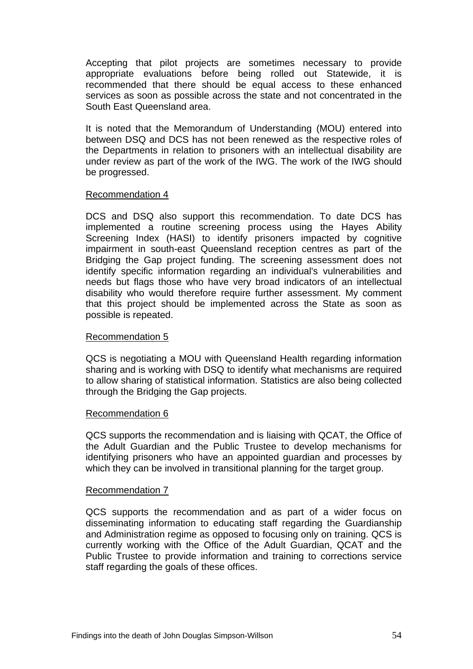Accepting that pilot projects are sometimes necessary to provide appropriate evaluations before being rolled out Statewide, it is recommended that there should be equal access to these enhanced services as soon as possible across the state and not concentrated in the South East Queensland area.

It is noted that the Memorandum of Understanding (MOU) entered into between DSQ and DCS has not been renewed as the respective roles of the Departments in relation to prisoners with an intellectual disability are under review as part of the work of the IWG. The work of the IWG should be progressed.

#### Recommendation 4

DCS and DSQ also support this recommendation. To date DCS has implemented a routine screening process using the Hayes Ability Screening Index (HASI) to identify prisoners impacted by cognitive impairment in south-east Queensland reception centres as part of the Bridging the Gap project funding. The screening assessment does not identify specific information regarding an individual's vulnerabilities and needs but flags those who have very broad indicators of an intellectual disability who would therefore require further assessment. My comment that this project should be implemented across the State as soon as possible is repeated.

#### Recommendation 5

QCS is negotiating a MOU with Queensland Health regarding information sharing and is working with DSQ to identify what mechanisms are required to allow sharing of statistical information. Statistics are also being collected through the Bridging the Gap projects.

#### Recommendation 6

QCS supports the recommendation and is liaising with QCAT, the Office of the Adult Guardian and the Public Trustee to develop mechanisms for identifying prisoners who have an appointed guardian and processes by which they can be involved in transitional planning for the target group.

#### Recommendation 7

QCS supports the recommendation and as part of a wider focus on disseminating information to educating staff regarding the Guardianship and Administration regime as opposed to focusing only on training. QCS is currently working with the Office of the Adult Guardian, QCAT and the Public Trustee to provide information and training to corrections service staff regarding the goals of these offices.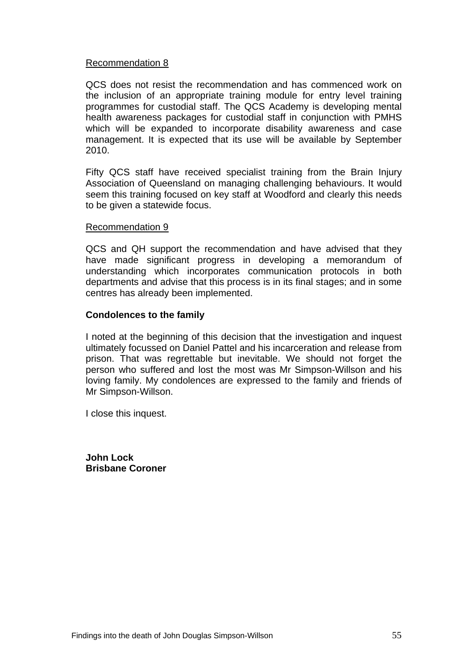#### Recommendation 8

QCS does not resist the recommendation and has commenced work on the inclusion of an appropriate training module for entry level training programmes for custodial staff. The QCS Academy is developing mental health awareness packages for custodial staff in conjunction with PMHS which will be expanded to incorporate disability awareness and case management. It is expected that its use will be available by September 2010.

Fifty QCS staff have received specialist training from the Brain Injury Association of Queensland on managing challenging behaviours. It would seem this training focused on key staff at Woodford and clearly this needs to be given a statewide focus.

#### Recommendation 9

QCS and QH support the recommendation and have advised that they have made significant progress in developing a memorandum of understanding which incorporates communication protocols in both departments and advise that this process is in its final stages; and in some centres has already been implemented.

#### **Condolences to the family**

I noted at the beginning of this decision that the investigation and inquest ultimately focussed on Daniel Pattel and his incarceration and release from prison. That was regrettable but inevitable. We should not forget the person who suffered and lost the most was Mr Simpson-Willson and his loving family. My condolences are expressed to the family and friends of Mr Simpson-Willson.

I close this inquest.

**John Lock Brisbane Coroner**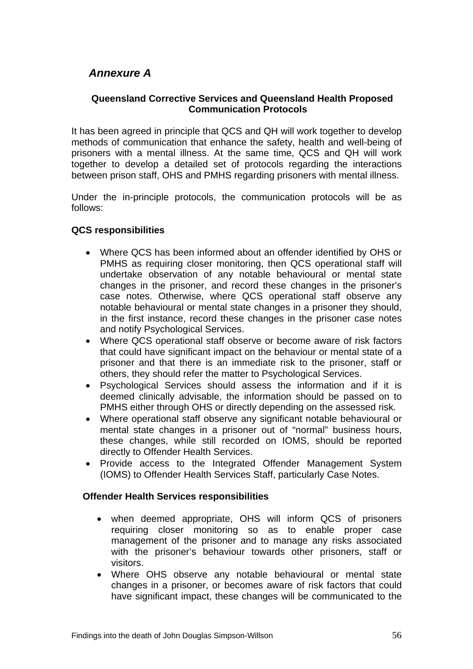# <span id="page-58-0"></span> *Annexure A*

#### **Queensland Corrective Services and Queensland Health Proposed Communication Protocols**

It has been agreed in principle that QCS and QH will work together to develop methods of communication that enhance the safety, health and well-being of prisoners with a mental illness. At the same time, QCS and QH will work together to develop a detailed set of protocols regarding the interactions between prison staff, OHS and PMHS regarding prisoners with mental illness.

Under the in-principle protocols, the communication protocols will be as follows:

#### **QCS responsibilities**

- Where QCS has been informed about an offender identified by OHS or PMHS as requiring closer monitoring, then QCS operational staff will undertake observation of any notable behavioural or mental state changes in the prisoner, and record these changes in the prisoner's case notes. Otherwise, where QCS operational staff observe any notable behavioural or mental state changes in a prisoner they should, in the first instance, record these changes in the prisoner case notes and notify Psychological Services.
- Where QCS operational staff observe or become aware of risk factors that could have significant impact on the behaviour or mental state of a prisoner and that there is an immediate risk to the prisoner, staff or others, they should refer the matter to Psychological Services.
- Psychological Services should assess the information and if it is deemed clinically advisable, the information should be passed on to PMHS either through OHS or directly depending on the assessed risk.
- Where operational staff observe any significant notable behavioural or mental state changes in a prisoner out of "normal" business hours, these changes, while still recorded on IOMS, should be reported directly to Offender Health Services.
- Provide access to the Integrated Offender Management System (IOMS) to Offender Health Services Staff, particularly Case Notes.

#### **Offender Health Services responsibilities**

- when deemed appropriate, OHS will inform QCS of prisoners requiring closer monitoring so as to enable proper case management of the prisoner and to manage any risks associated with the prisoner's behaviour towards other prisoners, staff or visitors.
- Where OHS observe any notable behavioural or mental state changes in a prisoner, or becomes aware of risk factors that could have significant impact, these changes will be communicated to the